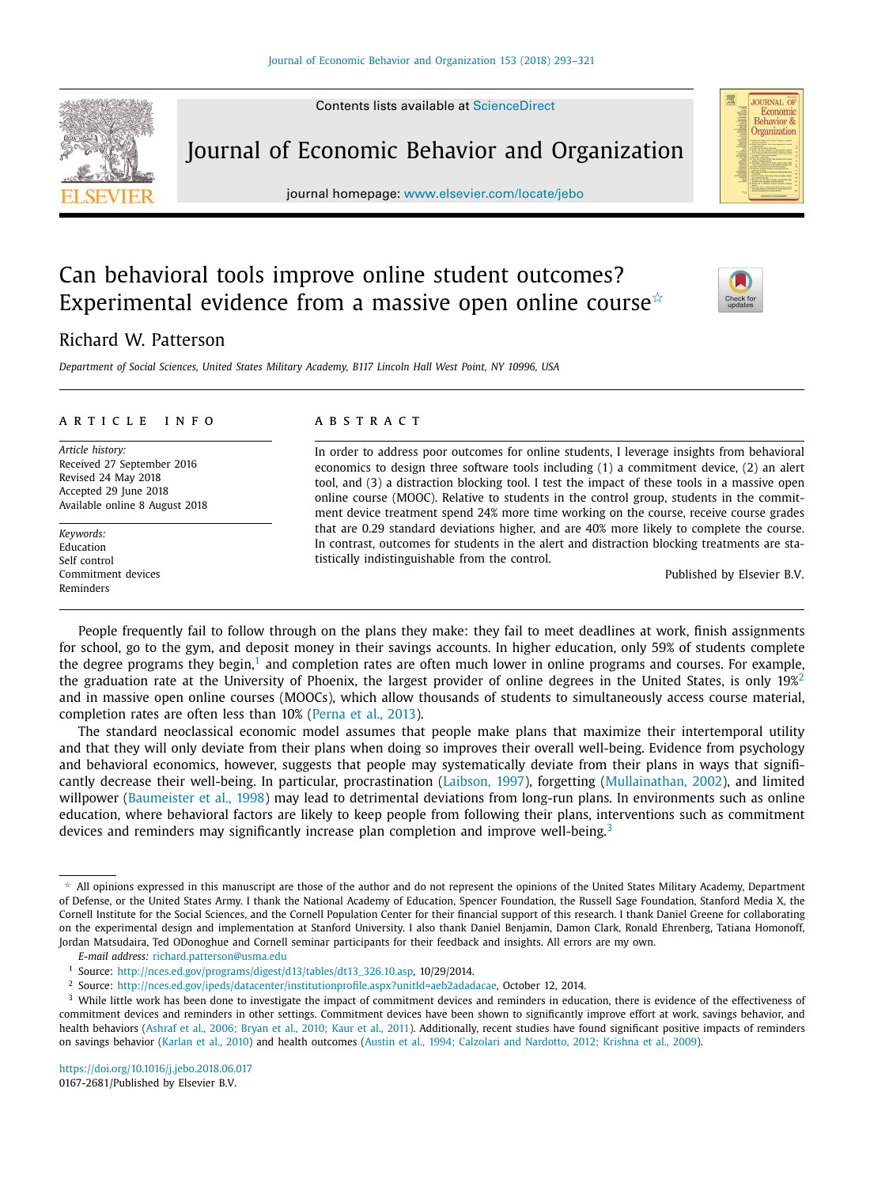Contents lists available at ScienceDirect

Journal of Economic Behavior and Organization

journal homepage: www.elsevier.com/locate/jebo



# Can behavioral tools improve online student outcomes? Experimental evidence from a massive open online course $*$

# Richard W. Patterson

*Department of Social Sciences, United States Military Academy, B117 Lincoln Hall West Point, NY 10996, USA*

# a r t i c l e i n f o

*Article history:* Received 27 September 2016 Revised 24 May 2018 Accepted 29 June 2018 Available online 8 August 2018

*Keywords:* Education Self control Commitment devices Reminders

# A B S T R A C T

In order to address poor outcomes for online students, I leverage insights from behavioral economics to design three software tools including (1) a commitment device, (2) an alert tool, and (3) a distraction blocking tool. I test the impact of these tools in a massive open online course (MOOC). Relative to students in the control group, students in the commitment device treatment spend 24% more time working on the course, receive course grades that are 0.29 standard deviations higher, and are 40% more likely to complete the course. In contrast, outcomes for students in the alert and distraction blocking treatments are statistically indistinguishable from the control.

Published by Elsevier B.V.

People frequently fail to follow through on the plans they make: they fail to meet deadlines at work, finish assignments for school, go to the gym, and deposit money in their savings accounts. In higher education, only 59% of students complete the degree programs they begin, $<sup>1</sup>$  and completion rates are often much lower in online programs and courses. For example,</sup> the graduation rate at the University of Phoenix, the largest provider of online degrees in the United States, is only  $19\%$ <sup>2</sup> and in massive open online courses (MOOCs), which allow thousands of students to simultaneously access course material, completion rates are often less than 10% (Perna et al., 2013).

The standard neoclassical economic model assumes that people make plans that maximize their intertemporal utility and that they will only deviate from their plans when doing so improves their overall well-being. Evidence from psychology and behavioral economics, however, suggests that people may systematically deviate from their plans in ways that significantly decrease their well-being. In particular, procrastination (Laibson, 1997), forgetting (Mullainathan, 2002), and limited willpower (Baumeister et al., 1998) may lead to detrimental deviations from long-run plans. In environments such as online education, where behavioral factors are likely to keep people from following their plans, interventions such as commitment devices and reminders may significantly increase plan completion and improve well-being.<sup>3</sup>

 $*$  All opinions expressed in this manuscript are those of the author and do not represent the opinions of the United States Military Academy, Department of Defense, or the United States Army. I thank the National Academy of Education, Spencer Foundation, the Russell Sage Foundation, Stanford Media X, the Cornell Institute for the Social Sciences, and the Cornell Population Center for their financial support of this research. I thank Daniel Greene for collaborating on the experimental design and implementation at Stanford University. I also thank Daniel Benjamin, Damon Clark, Ronald Ehrenberg, Tatiana Homonoff, Jordan Matsudaira, Ted ODonoghue and Cornell seminar participants for their feedback and insights. All errors are my own.

*E-mail address:* richard.patterson@usma.edu

<sup>1</sup> Source: http://nces.ed.gov/programs/digest/d13/tables/dt13\_326.10.asp, 10/29/2014.

<sup>2</sup> Source: http://nces.ed.gov/ipeds/datacenter/institutionprofile.aspx?unitId=aeb2adadacae, October 12, 2014.

<sup>&</sup>lt;sup>3</sup> While little work has been done to investigate the impact of commitment devices and reminders in education, there is evidence of the effectiveness of commitment devices and reminders in other settings. Commitment devices have been shown to significantly improve effort at work, savings behavior, and health behaviors (Ashraf et al., 2006; Bryan et al., 2010; Kaur et al., 2011). Additionally, recent studies have found significant positive impacts of reminders on savings behavior (Karlan et al., 2010) and health outcomes (Austin et al., 1994; Calzolari and Nardotto, 2012; Krishna et al., 2009).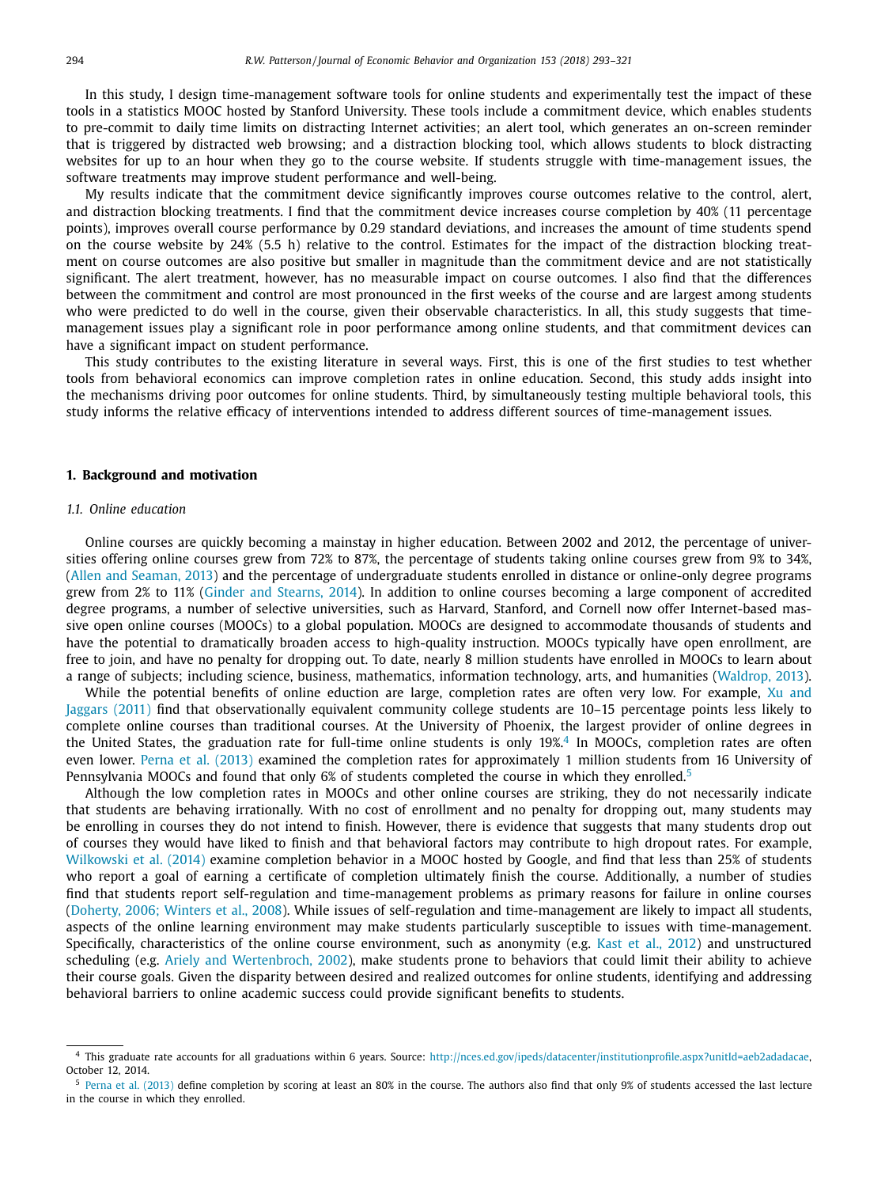In this study, I design time-management software tools for online students and experimentally test the impact of these tools in a statistics MOOC hosted by Stanford University. These tools include a commitment device, which enables students to pre-commit to daily time limits on distracting Internet activities; an alert tool, which generates an on-screen reminder that is triggered by distracted web browsing; and a distraction blocking tool, which allows students to block distracting websites for up to an hour when they go to the course website. If students struggle with time-management issues, the software treatments may improve student performance and well-being.

My results indicate that the commitment device significantly improves course outcomes relative to the control, alert, and distraction blocking treatments. I find that the commitment device increases course completion by 40% (11 percentage points), improves overall course performance by 0.29 standard deviations, and increases the amount of time students spend on the course website by 24% (5.5 h) relative to the control. Estimates for the impact of the distraction blocking treatment on course outcomes are also positive but smaller in magnitude than the commitment device and are not statistically significant. The alert treatment, however, has no measurable impact on course outcomes. I also find that the differences between the commitment and control are most pronounced in the first weeks of the course and are largest among students who were predicted to do well in the course, given their observable characteristics. In all, this study suggests that timemanagement issues play a significant role in poor performance among online students, and that commitment devices can have a significant impact on student performance.

This study contributes to the existing literature in several ways. First, this is one of the first studies to test whether tools from behavioral economics can improve completion rates in online education. Second, this study adds insight into the mechanisms driving poor outcomes for online students. Third, by simultaneously testing multiple behavioral tools, this study informs the relative efficacy of interventions intended to address different sources of time-management issues.

# **1. Background and motivation**

#### *1.1. Online education*

Online courses are quickly becoming a mainstay in higher education. Between 2002 and 2012, the percentage of universities offering online courses grew from 72% to 87%, the percentage of students taking online courses grew from 9% to 34%, (Allen and Seaman, 2013) and the percentage of undergraduate students enrolled in distance or online-only degree programs grew from 2% to 11% (Ginder and Stearns, 2014). In addition to online courses becoming a large component of accredited degree programs, a number of selective universities, such as Harvard, Stanford, and Cornell now offer Internet-based massive open online courses (MOOCs) to a global population. MOOCs are designed to accommodate thousands of students and have the potential to dramatically broaden access to high-quality instruction. MOOCs typically have open enrollment, are free to join, and have no penalty for dropping out. To date, nearly 8 million students have enrolled in MOOCs to learn about a range of subjects; including science, business, mathematics, information technology, arts, and humanities (Waldrop, 2013).

While the potential benefits of online eduction are large, completion rates are often very low. For example, Xu and Jaggars (2011) find that observationally equivalent community college students are 10–15 percentage points less likely to complete online courses than traditional courses. At the University of Phoenix, the largest provider of online degrees in the United States, the graduation rate for full-time online students is only 19%.<sup>4</sup> In MOOCs, completion rates are often even lower. Perna et al. (2013) examined the completion rates for approximately 1 million students from 16 University of Pennsylvania MOOCs and found that only 6% of students completed the course in which they enrolled.<sup>5</sup>

Although the low completion rates in MOOCs and other online courses are striking, they do not necessarily indicate that students are behaving irrationally. With no cost of enrollment and no penalty for dropping out, many students may be enrolling in courses they do not intend to finish. However, there is evidence that suggests that many students drop out of courses they would have liked to finish and that behavioral factors may contribute to high dropout rates. For example, Wilkowski et al. (2014) examine completion behavior in a MOOC hosted by Google, and find that less than 25% of students who report a goal of earning a certificate of completion ultimately finish the course. Additionally, a number of studies find that students report self-regulation and time-management problems as primary reasons for failure in online courses (Doherty, 2006; Winters et al., 2008). While issues of self-regulation and time-management are likely to impact all students, aspects of the online learning environment may make students particularly susceptible to issues with time-management. Specifically, characteristics of the online course environment, such as anonymity (e.g. Kast et al., 2012) and unstructured scheduling (e.g. Ariely and Wertenbroch, 2002), make students prone to behaviors that could limit their ability to achieve their course goals. Given the disparity between desired and realized outcomes for online students, identifying and addressing behavioral barriers to online academic success could provide significant benefits to students.

<sup>4</sup> This graduate rate accounts for all graduations within 6 years. Source: http://nces.ed.gov/ipeds/datacenter/institutionprofile.aspx?unitId=aeb2adadacae, October 12, 2014.

<sup>5</sup> Perna et al. (2013) define completion by scoring at least an 80% in the course. The authors also find that only 9% of students accessed the last lecture in the course in which they enrolled.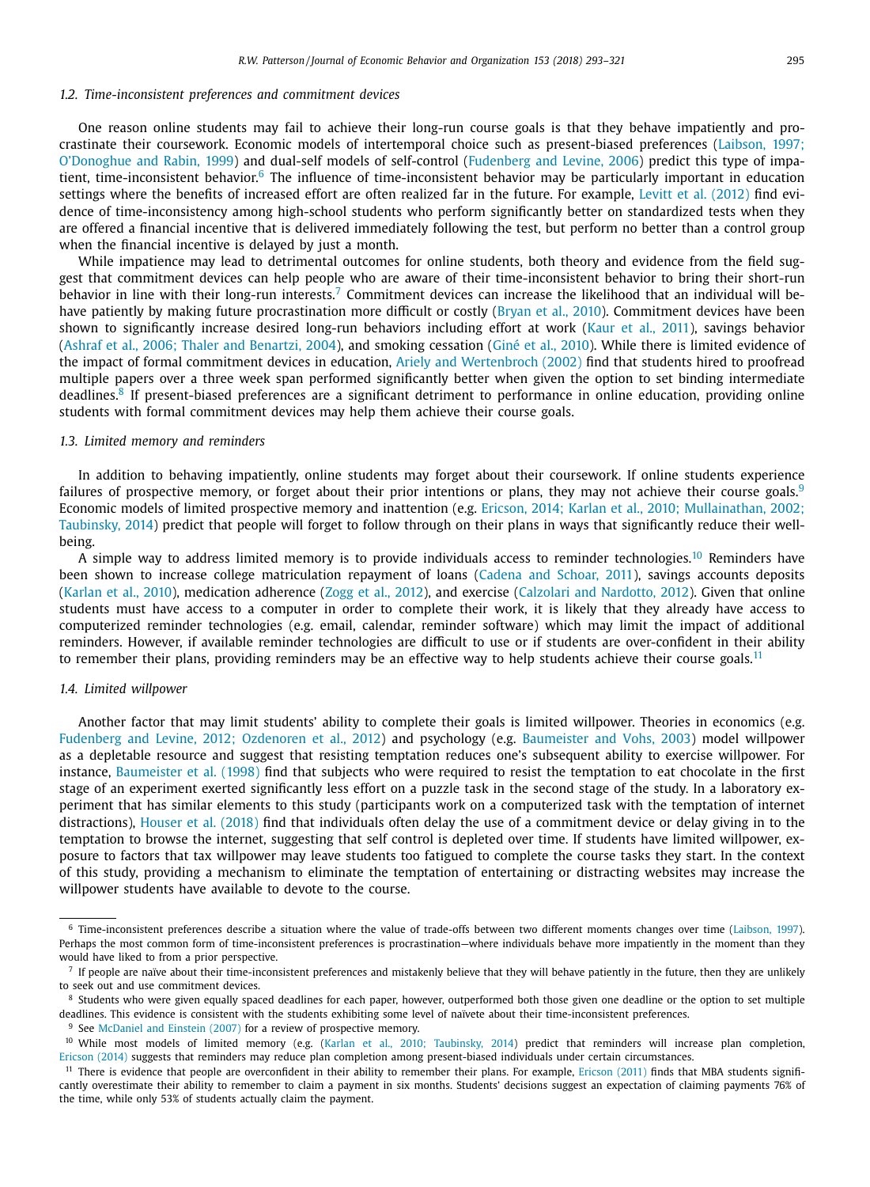# *1.2. Time-inconsistent preferences and commitment devices*

One reason online students may fail to achieve their long-run course goals is that they behave impatiently and procrastinate their coursework. Economic models of intertemporal choice such as present-biased preferences (Laibson, 1997; O'Donoghue and Rabin, 1999) and dual-self models of self-control (Fudenberg and Levine, 2006) predict this type of impatient, time-inconsistent behavior.<sup>6</sup> The influence of time-inconsistent behavior may be particularly important in education settings where the benefits of increased effort are often realized far in the future. For example, Levitt et al. (2012) find evidence of time-inconsistency among high-school students who perform significantly better on standardized tests when they are offered a financial incentive that is delivered immediately following the test, but perform no better than a control group when the financial incentive is delayed by just a month.

While impatience may lead to detrimental outcomes for online students, both theory and evidence from the field suggest that commitment devices can help people who are aware of their time-inconsistent behavior to bring their short-run behavior in line with their long-run interests.<sup>7</sup> Commitment devices can increase the likelihood that an individual will behave patiently by making future procrastination more difficult or costly (Bryan et al., 2010). Commitment devices have been shown to significantly increase desired long-run behaviors including effort at work (Kaur et al., 2011), savings behavior (Ashraf et al., 2006; Thaler and Benartzi, 2004), and smoking cessation (Giné et al., 2010). While there is limited evidence of the impact of formal commitment devices in education, Ariely and Wertenbroch (2002) find that students hired to proofread multiple papers over a three week span performed significantly better when given the option to set binding intermediate deadlines.<sup>8</sup> If present-biased preferences are a significant detriment to performance in online education, providing online students with formal commitment devices may help them achieve their course goals.

#### *1.3. Limited memory and reminders*

In addition to behaving impatiently, online students may forget about their coursework. If online students experience failures of prospective memory, or forget about their prior intentions or plans, they may not achieve their course goals.<sup>9</sup> Economic models of limited prospective memory and inattention (e.g. Ericson, 2014; Karlan et al., 2010; Mullainathan, 2002; Taubinsky, 2014) predict that people will forget to follow through on their plans in ways that significantly reduce their wellbeing.

A simple way to address limited memory is to provide individuals access to reminder technologies.<sup>10</sup> Reminders have been shown to increase college matriculation repayment of loans (Cadena and Schoar, 2011), savings accounts deposits (Karlan et al., 2010), medication adherence (Zogg et al., 2012), and exercise (Calzolari and Nardotto, 2012). Given that online students must have access to a computer in order to complete their work, it is likely that they already have access to computerized reminder technologies (e.g. email, calendar, reminder software) which may limit the impact of additional reminders. However, if available reminder technologies are difficult to use or if students are over-confident in their ability to remember their plans, providing reminders may be an effective way to help students achieve their course goals.<sup>11</sup>

# *1.4. Limited willpower*

Another factor that may limit students' ability to complete their goals is limited willpower. Theories in economics (e.g. Fudenberg and Levine, 2012; Ozdenoren et al., 2012) and psychology (e.g. Baumeister and Vohs, 2003) model willpower as a depletable resource and suggest that resisting temptation reduces one's subsequent ability to exercise willpower. For instance, Baumeister et al. (1998) find that subjects who were required to resist the temptation to eat chocolate in the first stage of an experiment exerted significantly less effort on a puzzle task in the second stage of the study. In a laboratory experiment that has similar elements to this study (participants work on a computerized task with the temptation of internet distractions), Houser et al. (2018) find that individuals often delay the use of a commitment device or delay giving in to the temptation to browse the internet, suggesting that self control is depleted over time. If students have limited willpower, exposure to factors that tax willpower may leave students too fatigued to complete the course tasks they start. In the context of this study, providing a mechanism to eliminate the temptation of entertaining or distracting websites may increase the willpower students have available to devote to the course.

<sup>9</sup> See McDaniel and Einstein (2007) for a review of prospective memory.

<sup>6</sup> Time-inconsistent preferences describe a situation where the value of trade-offs between two different moments changes over time (Laibson, 1997). Perhaps the most common form of time-inconsistent preferences is procrastination—where individuals behave more impatiently in the moment than they would have liked to from a prior perspective.

 $^7$  If people are naïve about their time-inconsistent preferences and mistakenly believe that they will behave patiently in the future, then they are unlikely to seek out and use commitment devices.

<sup>&</sup>lt;sup>8</sup> Students who were given equally spaced deadlines for each paper, however, outperformed both those given one deadline or the option to set multiple deadlines. This evidence is consistent with the students exhibiting some level of naïvete about their time-inconsistent preferences.

<sup>&</sup>lt;sup>10</sup> While most models of limited memory (e.g. (Karlan et al., 2010; Taubinsky, 2014) predict that reminders will increase plan completion, Ericson (2014) suggests that reminders may reduce plan completion among present-biased individuals under certain circumstances.

<sup>&</sup>lt;sup>11</sup> There is evidence that people are overconfident in their ability to remember their plans. For example, Ericson (2011) finds that MBA students significantly overestimate their ability to remember to claim a payment in six months. Students' decisions suggest an expectation of claiming payments 76% of the time, while only 53% of students actually claim the payment.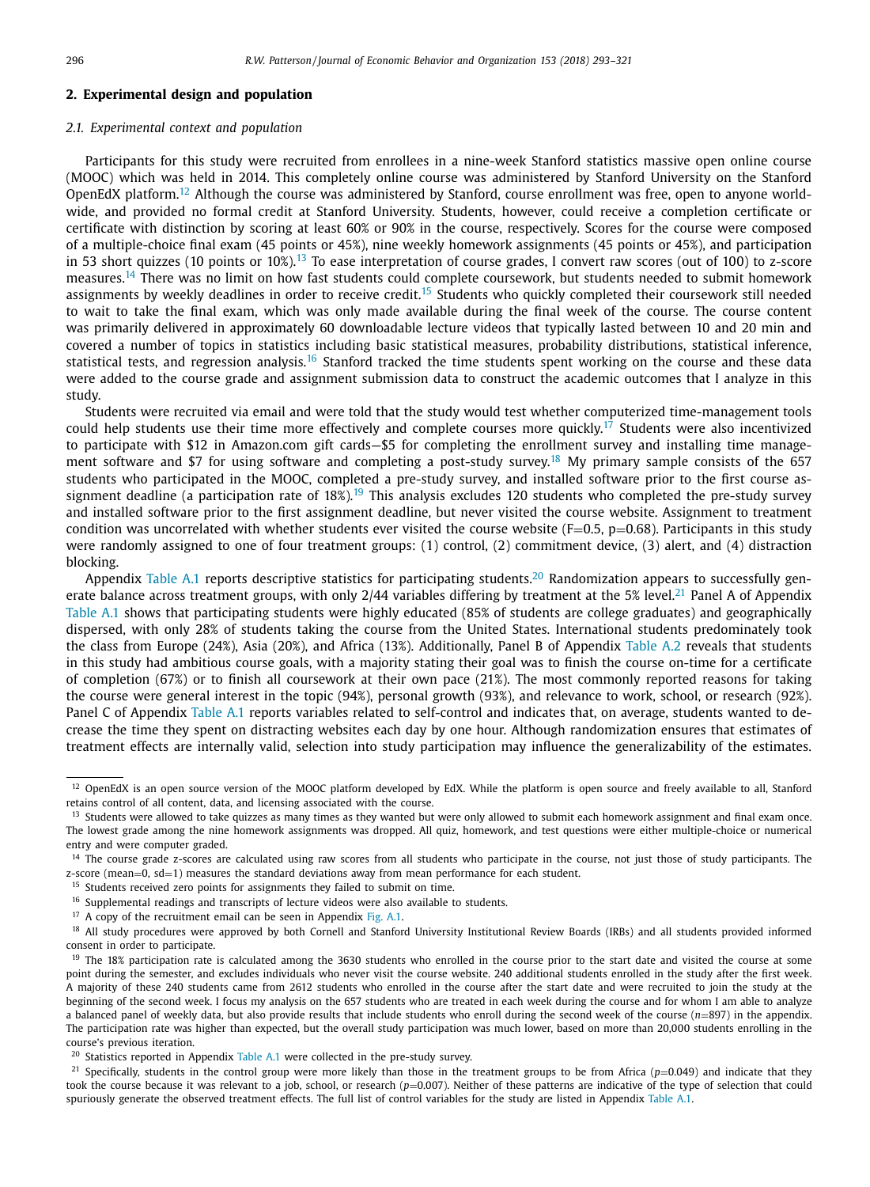# **2. Experimental design and population**

# *2.1. Experimental context and population*

Participants for this study were recruited from enrollees in a nine-week Stanford statistics massive open online course (MOOC) which was held in 2014. This completely online course was administered by Stanford University on the Stanford OpenEdX platform.<sup>12</sup> Although the course was administered by Stanford, course enrollment was free, open to anyone worldwide, and provided no formal credit at Stanford University. Students, however, could receive a completion certificate or certificate with distinction by scoring at least 60% or 90% in the course, respectively. Scores for the course were composed of a multiple-choice final exam (45 points or 45%), nine weekly homework assignments (45 points or 45%), and participation in 53 short quizzes (10 points or  $10\%$ ).<sup>13</sup> To ease interpretation of course grades, I convert raw scores (out of 100) to z-score measures.<sup>14</sup> There was no limit on how fast students could complete coursework, but students needed to submit homework assignments by weekly deadlines in order to receive credit.<sup>15</sup> Students who quickly completed their coursework still needed to wait to take the final exam, which was only made available during the final week of the course. The course content was primarily delivered in approximately 60 downloadable lecture videos that typically lasted between 10 and 20 min and covered a number of topics in statistics including basic statistical measures, probability distributions, statistical inference, statistical tests, and regression analysis.<sup>16</sup> Stanford tracked the time students spent working on the course and these data were added to the course grade and assignment submission data to construct the academic outcomes that I analyze in this study.

Students were recruited via email and were told that the study would test whether computerized time-management tools could help students use their time more effectively and complete courses more quickly.<sup>17</sup> Students were also incentivized to participate with \$12 in Amazon.com gift cards—\$5 for completing the enrollment survey and installing time management software and \$7 for using software and completing a post-study survey.<sup>18</sup> My primary sample consists of the 657 students who participated in the MOOC, completed a pre-study survey, and installed software prior to the first course assignment deadline (a participation rate of  $18\%)$ <sup>19</sup> This analysis excludes 120 students who completed the pre-study survey and installed software prior to the first assignment deadline, but never visited the course website. Assignment to treatment condition was uncorrelated with whether students ever visited the course website ( $F=0.5$ ,  $p=0.68$ ). Participants in this study were randomly assigned to one of four treatment groups: (1) control, (2) commitment device, (3) alert, and (4) distraction blocking.

Appendix Table A.1 reports descriptive statistics for participating students.<sup>20</sup> Randomization appears to successfully generate balance across treatment groups, with only  $2/44$  variables differing by treatment at the 5% level.<sup>21</sup> Panel A of Appendix Table A.1 shows that participating students were highly educated (85% of students are college graduates) and geographically dispersed, with only 28% of students taking the course from the United States. International students predominately took the class from Europe (24%), Asia (20%), and Africa (13%). Additionally, Panel B of Appendix Table A.2 reveals that students in this study had ambitious course goals, with a majority stating their goal was to finish the course on-time for a certificate of completion (67%) or to finish all coursework at their own pace (21%). The most commonly reported reasons for taking the course were general interest in the topic (94%), personal growth (93%), and relevance to work, school, or research (92%). Panel C of Appendix Table A.1 reports variables related to self-control and indicates that, on average, students wanted to decrease the time they spent on distracting websites each day by one hour. Although randomization ensures that estimates of treatment effects are internally valid, selection into study participation may influence the generalizability of the estimates.

<sup>15</sup> Students received zero points for assignments they failed to submit on time.

<sup>&</sup>lt;sup>12</sup> OpenEdX is an open source version of the MOOC platform developed by EdX. While the platform is open source and freely available to all, Stanford retains control of all content, data, and licensing associated with the course.

<sup>13</sup> Students were allowed to take quizzes as many times as they wanted but were only allowed to submit each homework assignment and final exam once. The lowest grade among the nine homework assignments was dropped. All quiz, homework, and test questions were either multiple-choice or numerical entry and were computer graded.

<sup>&</sup>lt;sup>14</sup> The course grade z-scores are calculated using raw scores from all students who participate in the course, not just those of study participants. The z-score (mean=0, sd=1) measures the standard deviations away from mean performance for each student.

<sup>&</sup>lt;sup>16</sup> Supplemental readings and transcripts of lecture videos were also available to students.

<sup>&</sup>lt;sup>17</sup> A copy of the recruitment email can be seen in Appendix Fig. A.1.

<sup>&</sup>lt;sup>18</sup> All study procedures were approved by both Cornell and Stanford University Institutional Review Boards (IRBs) and all students provided informed consent in order to participate.

<sup>&</sup>lt;sup>19</sup> The 18% participation rate is calculated among the 3630 students who enrolled in the course prior to the start date and visited the course at some point during the semester, and excludes individuals who never visit the course website. 240 additional students enrolled in the study after the first week. A majority of these 240 students came from 2612 students who enrolled in the course after the start date and were recruited to join the study at the beginning of the second week. I focus my analysis on the 657 students who are treated in each week during the course and for whom I am able to analyze a balanced panel of weekly data, but also provide results that include students who enroll during the second week of the course (*n*=897) in the appendix. The participation rate was higher than expected, but the overall study participation was much lower, based on more than 20,000 students enrolling in the course's previous iteration.

<sup>&</sup>lt;sup>20</sup> Statistics reported in Appendix Table A.1 were collected in the pre-study survey.

<sup>&</sup>lt;sup>21</sup> Specifically, students in the control group were more likely than those in the treatment groups to be from Africa (*p*=0.049) and indicate that they took the course because it was relevant to a job, school, or research (*p*=0.007). Neither of these patterns are indicative of the type of selection that could spuriously generate the observed treatment effects. The full list of control variables for the study are listed in Appendix Table A.1.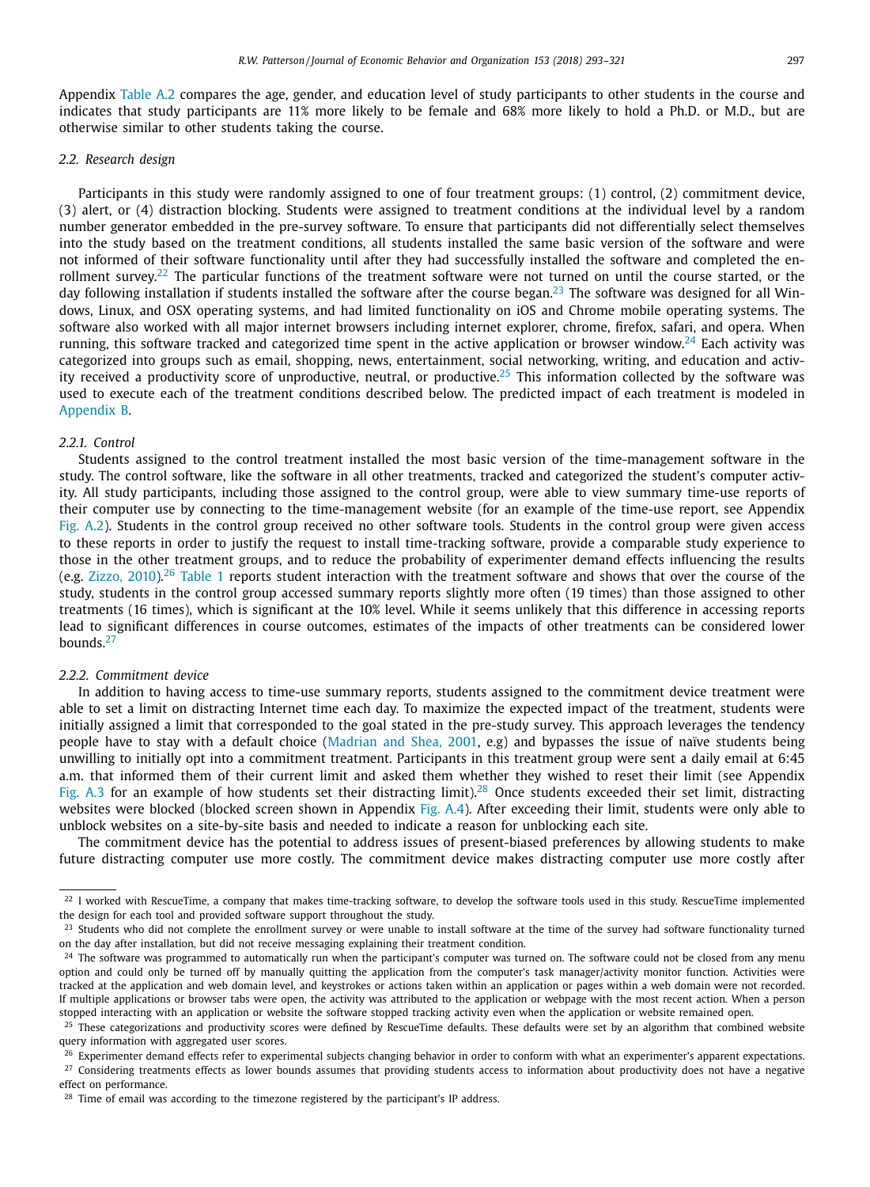Appendix Table A.2 compares the age, gender, and education level of study participants to other students in the course and indicates that study participants are 11% more likely to be female and 68% more likely to hold a Ph.D. or M.D., but are otherwise similar to other students taking the course.

# *2.2. Research design*

Participants in this study were randomly assigned to one of four treatment groups: (1) control, (2) commitment device, (3) alert, or (4) distraction blocking. Students were assigned to treatment conditions at the individual level by a random number generator embedded in the pre-survey software. To ensure that participants did not differentially select themselves into the study based on the treatment conditions, all students installed the same basic version of the software and were not informed of their software functionality until after they had successfully installed the software and completed the enrollment survey.<sup>22</sup> The particular functions of the treatment software were not turned on until the course started, or the day following installation if students installed the software after the course began.<sup>23</sup> The software was designed for all Windows, Linux, and OSX operating systems, and had limited functionality on iOS and Chrome mobile operating systems. The software also worked with all major internet browsers including internet explorer, chrome, firefox, safari, and opera. When running, this software tracked and categorized time spent in the active application or browser window.<sup>24</sup> Each activity was categorized into groups such as email, shopping, news, entertainment, social networking, writing, and education and activity received a productivity score of unproductive, neutral, or productive.<sup>25</sup> This information collected by the software was used to execute each of the treatment conditions described below. The predicted impact of each treatment is modeled in Appendix B.

#### *2.2.1. Control*

Students assigned to the control treatment installed the most basic version of the time-management software in the study. The control software, like the software in all other treatments, tracked and categorized the student's computer activity. All study participants, including those assigned to the control group, were able to view summary time-use reports of their computer use by connecting to the time-management website (for an example of the time-use report, see Appendix Fig. A.2). Students in the control group received no other software tools. Students in the control group were given access to these reports in order to justify the request to install time-tracking software, provide a comparable study experience to those in the other treatment groups, and to reduce the probability of experimenter demand effects influencing the results (e.g. Zizzo, 2010).<sup>26</sup> Table 1 reports student interaction with the treatment software and shows that over the course of the study, students in the control group accessed summary reports slightly more often (19 times) than those assigned to other treatments (16 times), which is significant at the 10% level. While it seems unlikely that this difference in accessing reports lead to significant differences in course outcomes, estimates of the impacts of other treatments can be considered lower bounds.<sup>27</sup>

# *2.2.2. Commitment device*

In addition to having access to time-use summary reports, students assigned to the commitment device treatment were able to set a limit on distracting Internet time each day. To maximize the expected impact of the treatment, students were initially assigned a limit that corresponded to the goal stated in the pre-study survey. This approach leverages the tendency people have to stay with a default choice (Madrian and Shea, 2001, e.g) and bypasses the issue of naïve students being unwilling to initially opt into a commitment treatment. Participants in this treatment group were sent a daily email at 6:45 a.m. that informed them of their current limit and asked them whether they wished to reset their limit (see Appendix Fig. A.3 for an example of how students set their distracting limit).<sup>28</sup> Once students exceeded their set limit, distracting websites were blocked (blocked screen shown in Appendix Fig. A.4). After exceeding their limit, students were only able to unblock websites on a site-by-site basis and needed to indicate a reason for unblocking each site.

The commitment device has the potential to address issues of present-biased preferences by allowing students to make future distracting computer use more costly. The commitment device makes distracting computer use more costly after

<sup>26</sup> Experimenter demand effects refer to experimental subjects changing behavior in order to conform with what an experimenter's apparent expectations. <sup>27</sup> Considering treatments effects as lower bounds assumes that providing students access to information about productivity does not have a negative

effect on performance.

<sup>&</sup>lt;sup>22</sup> I worked with RescueTime, a company that makes time-tracking software, to develop the software tools used in this study. RescueTime implemented the design for each tool and provided software support throughout the study.

<sup>&</sup>lt;sup>23</sup> Students who did not complete the enrollment survey or were unable to install software at the time of the survey had software functionality turned on the day after installation, but did not receive messaging explaining their treatment condition.

 $24$  The software was programmed to automatically run when the participant's computer was turned on. The software could not be closed from any menu option and could only be turned off by manually quitting the application from the computer's task manager/activity monitor function. Activities were tracked at the application and web domain level, and keystrokes or actions taken within an application or pages within a web domain were not recorded. If multiple applications or browser tabs were open, the activity was attributed to the application or webpage with the most recent action. When a person stopped interacting with an application or website the software stopped tracking activity even when the application or website remained open.

<sup>&</sup>lt;sup>25</sup> These categorizations and productivity scores were defined by RescueTime defaults. These defaults were set by an algorithm that combined website query information with aggregated user scores.

<sup>&</sup>lt;sup>28</sup> Time of email was according to the timezone registered by the participant's IP address.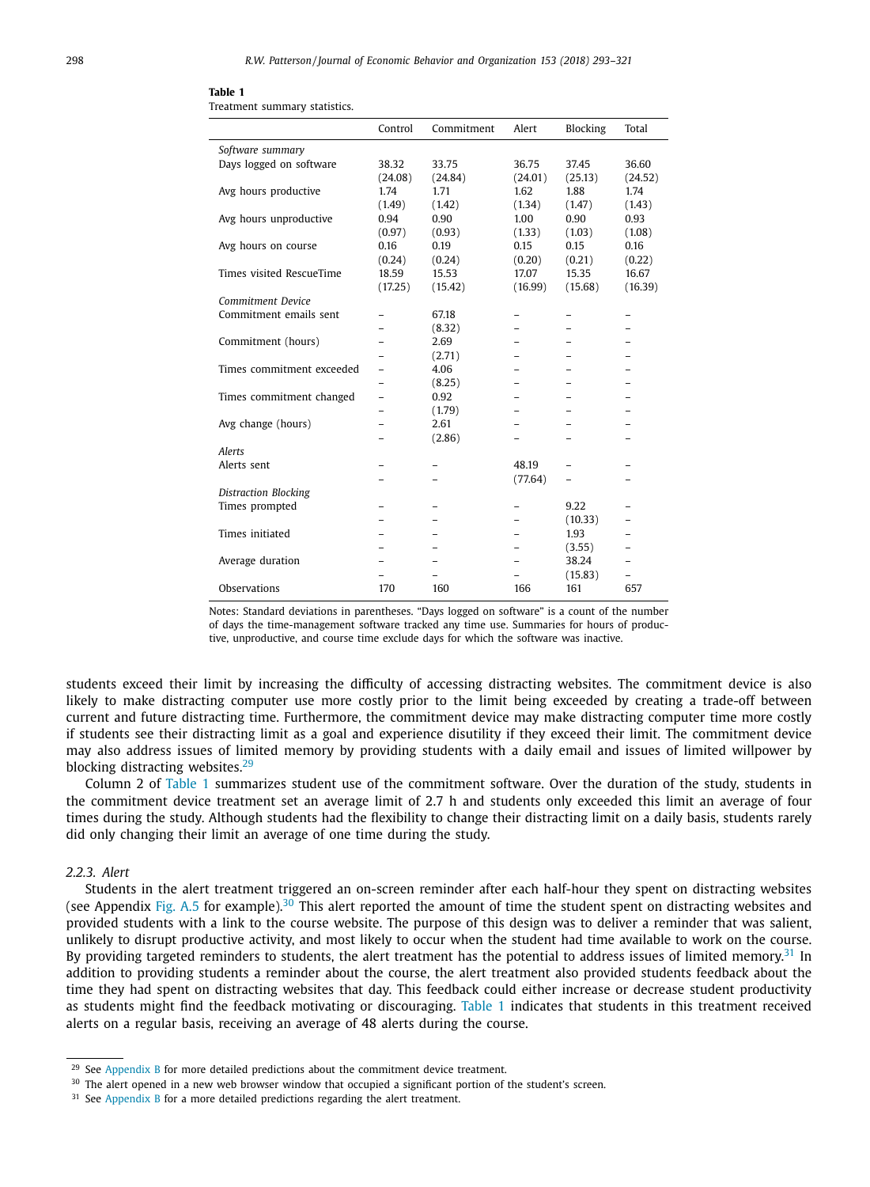|  | M. |
|--|----|

# **Table 1**

Treatment summary statistics.

|                             | Control | Commitment | Alert                    | <b>Blocking</b> | Total   |
|-----------------------------|---------|------------|--------------------------|-----------------|---------|
| Software summary            |         |            |                          |                 |         |
| Days logged on software     | 38.32   | 33.75      | 36.75                    | 37.45           | 36.60   |
|                             | (24.08) | (24.84)    | (24.01)                  | (25.13)         | (24.52) |
| Avg hours productive        | 1.74    | 1.71       | 1.62                     | 1.88            | 1.74    |
|                             | (1.49)  | (1.42)     | (1.34)                   | (1.47)          | (1.43)  |
| Avg hours unproductive      | 0.94    | 0.90       | 1.00                     | 0.90            | 0.93    |
|                             | (0.97)  | (0.93)     | (1.33)                   | (1.03)          | (1.08)  |
| Avg hours on course         | 0.16    | 0.19       | 0.15                     | 0.15            | 0.16    |
|                             | (0.24)  | (0.24)     | (0.20)                   | (0.21)          | (0.22)  |
| Times visited RescueTime    | 18.59   | 15.53      | 17.07                    | 15.35           | 16.67   |
|                             | (17.25) | (15.42)    | (16.99)                  | (15.68)         | (16.39) |
| <b>Commitment Device</b>    |         |            |                          |                 |         |
| Commitment emails sent      |         | 67.18      |                          |                 |         |
|                             |         | (8.32)     |                          |                 |         |
| Commitment (hours)          |         | 2.69       |                          |                 |         |
|                             |         | (2.71)     |                          |                 |         |
| Times commitment exceeded   |         | 4.06       |                          |                 |         |
|                             |         | (8.25)     | $\overline{\phantom{0}}$ | -               |         |
| Times commitment changed    |         | 0.92       |                          |                 |         |
|                             |         | (1.79)     |                          |                 |         |
| Avg change (hours)          |         | 2.61       |                          |                 |         |
|                             |         | (2.86)     |                          |                 |         |
| <b>Alerts</b>               |         |            |                          |                 |         |
| Alerts sent                 |         |            | 48.19                    | -               |         |
|                             |         |            | (77.64)                  |                 |         |
| <b>Distraction Blocking</b> |         |            |                          |                 |         |
| Times prompted              |         |            | -                        | 9.22            |         |
|                             |         |            |                          | (10.33)         |         |
| Times initiated             |         |            |                          | 1.93            |         |
|                             |         |            |                          | (3.55)          |         |
| Average duration            |         |            |                          | 38.24           |         |
|                             |         |            |                          | (15.83)         |         |
| Observations                | 170     | 160        | 166                      | 161             | 657     |

Notes: Standard deviations in parentheses. "Days logged on software" is a count of the number of days the time-management software tracked any time use. Summaries for hours of productive, unproductive, and course time exclude days for which the software was inactive.

students exceed their limit by increasing the difficulty of accessing distracting websites. The commitment device is also likely to make distracting computer use more costly prior to the limit being exceeded by creating a trade-off between current and future distracting time. Furthermore, the commitment device may make distracting computer time more costly if students see their distracting limit as a goal and experience disutility if they exceed their limit. The commitment device may also address issues of limited memory by providing students with a daily email and issues of limited willpower by blocking distracting websites.<sup>29</sup>

Column 2 of Table 1 summarizes student use of the commitment software. Over the duration of the study, students in the commitment device treatment set an average limit of 2.7 h and students only exceeded this limit an average of four times during the study. Although students had the flexibility to change their distracting limit on a daily basis, students rarely did only changing their limit an average of one time during the study.

# *2.2.3. Alert*

Students in the alert treatment triggered an on-screen reminder after each half-hour they spent on distracting websites (see Appendix Fig. A.5 for example).<sup>30</sup> This alert reported the amount of time the student spent on distracting websites and provided students with a link to the course website. The purpose of this design was to deliver a reminder that was salient, unlikely to disrupt productive activity, and most likely to occur when the student had time available to work on the course. By providing targeted reminders to students, the alert treatment has the potential to address issues of limited memory.<sup>31</sup> In addition to providing students a reminder about the course, the alert treatment also provided students feedback about the time they had spent on distracting websites that day. This feedback could either increase or decrease student productivity as students might find the feedback motivating or discouraging. Table 1 indicates that students in this treatment received alerts on a regular basis, receiving an average of 48 alerts during the course.

<sup>&</sup>lt;sup>29</sup> See Appendix B for more detailed predictions about the commitment device treatment.

 $30$  The alert opened in a new web browser window that occupied a significant portion of the student's screen.

<sup>&</sup>lt;sup>31</sup> See Appendix B for a more detailed predictions regarding the alert treatment.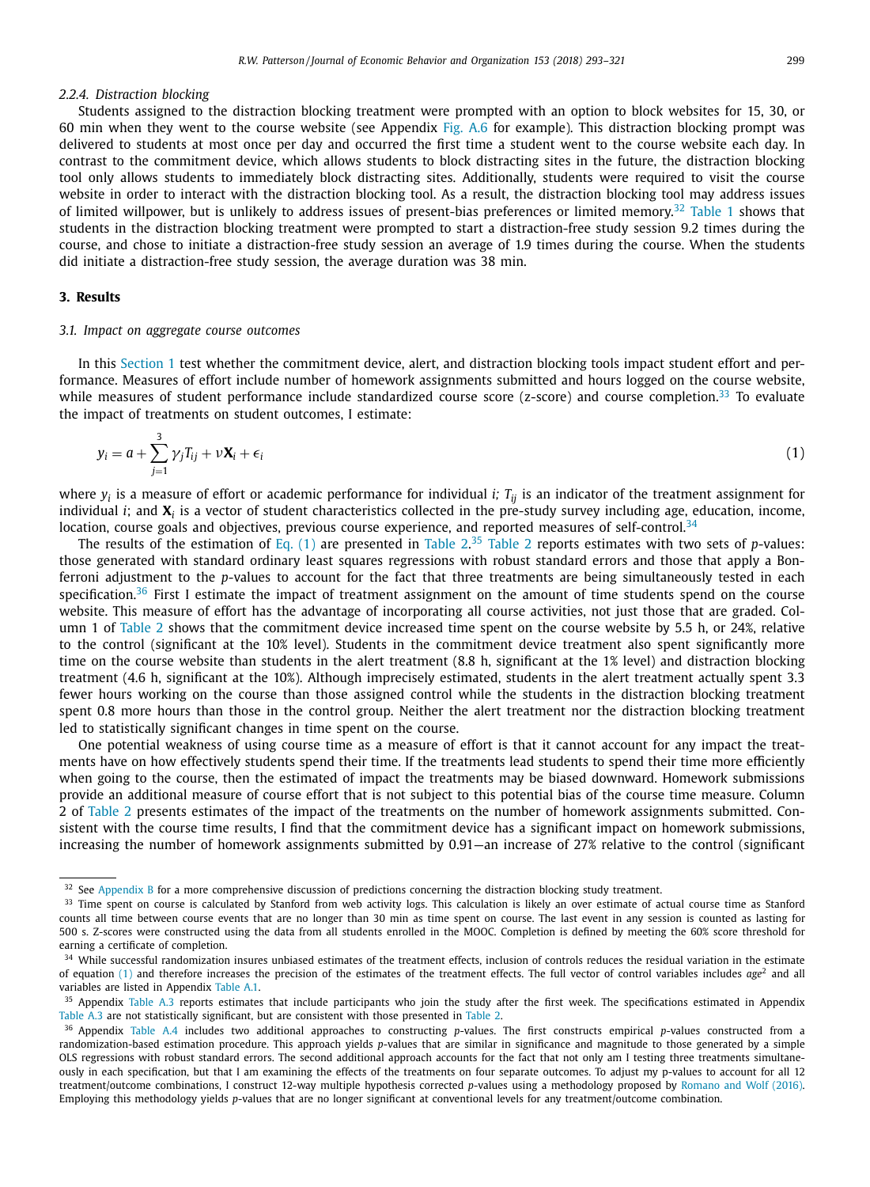# *2.2.4. Distraction blocking*

Students assigned to the distraction blocking treatment were prompted with an option to block websites for 15, 30, or 60 min when they went to the course website (see Appendix Fig. A.6 for example). This distraction blocking prompt was delivered to students at most once per day and occurred the first time a student went to the course website each day. In contrast to the commitment device, which allows students to block distracting sites in the future, the distraction blocking tool only allows students to immediately block distracting sites. Additionally, students were required to visit the course website in order to interact with the distraction blocking tool. As a result, the distraction blocking tool may address issues of limited willpower, but is unlikely to address issues of present-bias preferences or limited memory. $32$  Table 1 shows that students in the distraction blocking treatment were prompted to start a distraction-free study session 9.2 times during the course, and chose to initiate a distraction-free study session an average of 1.9 times during the course. When the students did initiate a distraction-free study session, the average duration was 38 min.

# **3. Results**

#### *3.1. Impact on aggregate course outcomes*

In this Section 1 test whether the commitment device, alert, and distraction blocking tools impact student effort and performance. Measures of effort include number of homework assignments submitted and hours logged on the course website, while measures of student performance include standardized course score (z-score) and course completion.<sup>33</sup> To evaluate the impact of treatments on student outcomes, I estimate:

$$
y_i = a + \sum_{j=1}^{3} \gamma_j T_{ij} + \nu \mathbf{X}_i + \epsilon_i
$$
 (1)

where *y<sup>i</sup>* is a measure of effort or academic performance for individual *i; Tij* is an indicator of the treatment assignment for individual *i*; and **X**<sub>i</sub> is a vector of student characteristics collected in the pre-study survey including age, education, income, location, course goals and objectives, previous course experience, and reported measures of self-control.<sup>34</sup>

The results of the estimation of Eq. (1) are presented in Table 2. <sup>35</sup> Table 2 reports estimates with two sets of *p*-values: those generated with standard ordinary least squares regressions with robust standard errors and those that apply a Bonferroni adjustment to the *p*-values to account for the fact that three treatments are being simultaneously tested in each specification.<sup>36</sup> First I estimate the impact of treatment assignment on the amount of time students spend on the course website. This measure of effort has the advantage of incorporating all course activities, not just those that are graded. Column 1 of Table 2 shows that the commitment device increased time spent on the course website by 5.5 h, or 24%, relative to the control (significant at the 10% level). Students in the commitment device treatment also spent significantly more time on the course website than students in the alert treatment (8.8 h, significant at the 1% level) and distraction blocking treatment (4.6 h, significant at the 10%). Although imprecisely estimated, students in the alert treatment actually spent 3.3 fewer hours working on the course than those assigned control while the students in the distraction blocking treatment spent 0.8 more hours than those in the control group. Neither the alert treatment nor the distraction blocking treatment led to statistically significant changes in time spent on the course.

One potential weakness of using course time as a measure of effort is that it cannot account for any impact the treatments have on how effectively students spend their time. If the treatments lead students to spend their time more efficiently when going to the course, then the estimated of impact the treatments may be biased downward. Homework submissions provide an additional measure of course effort that is not subject to this potential bias of the course time measure. Column 2 of Table 2 presents estimates of the impact of the treatments on the number of homework assignments submitted. Consistent with the course time results, I find that the commitment device has a significant impact on homework submissions, increasing the number of homework assignments submitted by 0.91—an increase of 27% relative to the control (significant

<sup>&</sup>lt;sup>32</sup> See Appendix B for a more comprehensive discussion of predictions concerning the distraction blocking study treatment.

<sup>&</sup>lt;sup>33</sup> Time spent on course is calculated by Stanford from web activity logs. This calculation is likely an over estimate of actual course time as Stanford counts all time between course events that are no longer than 30 min as time spent on course. The last event in any session is counted as lasting for 500 s. Z-scores were constructed using the data from all students enrolled in the MOOC. Completion is defined by meeting the 60% score threshold for earning a certificate of completion.

<sup>&</sup>lt;sup>34</sup> While successful randomization insures unbiased estimates of the treatment effects, inclusion of controls reduces the residual variation in the estimate of equation (1) and therefore increases the precision of the estimates of the treatment effects. The full vector of control variables includes *age*<sup>2</sup> and all variables are listed in Appendix Table A.1.

<sup>&</sup>lt;sup>35</sup> Appendix Table A.3 reports estimates that include participants who join the study after the first week. The specifications estimated in Appendix Table A.3 are not statistically significant, but are consistent with those presented in Table 2.

<sup>36</sup> Appendix Table A.4 includes two additional approaches to constructing *p*-values. The first constructs empirical *p*-values constructed from a randomization-based estimation procedure. This approach yields *p*-values that are similar in significance and magnitude to those generated by a simple OLS regressions with robust standard errors. The second additional approach accounts for the fact that not only am I testing three treatments simultaneously in each specification, but that I am examining the effects of the treatments on four separate outcomes. To adjust my p-values to account for all 12 treatment/outcome combinations, I construct 12-way multiple hypothesis corrected *p*-values using a methodology proposed by Romano and Wolf (2016). Employing this methodology yields *p*-values that are no longer significant at conventional levels for any treatment/outcome combination.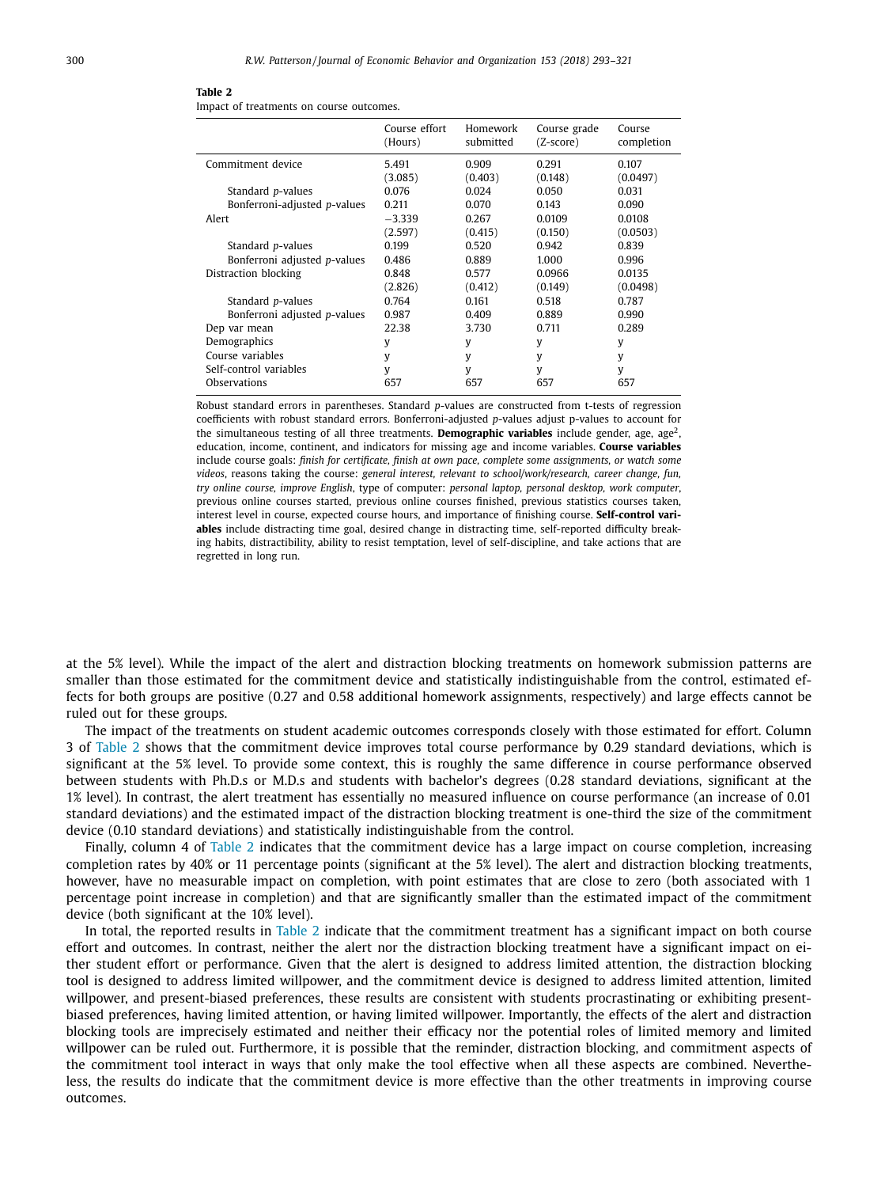Impact of treatments on course outcomes.

| Course effort<br>(Hours) | Homework<br>submitted | Course grade<br>(Z-score) | Course<br>completion |
|--------------------------|-----------------------|---------------------------|----------------------|
| 5.491                    | 0.909                 | 0.291                     | 0.107                |
| (3.085)                  | (0.403)               | (0.148)                   | (0.0497)             |
| 0.076                    | 0.024                 | 0.050                     | 0.031                |
| 0.211                    | 0.070                 | 0.143                     | 0.090                |
| $-3.339$                 | 0.267                 | 0.0109                    | 0.0108               |
| (2.597)                  | (0.415)               | (0.150)                   | (0.0503)             |
| 0.199                    | 0.520                 | 0.942                     | 0.839                |
| 0.486                    | 0.889                 | 1.000                     | 0.996                |
| 0.848                    | 0.577                 | 0.0966                    | 0.0135               |
| (2.826)                  | (0.412)               | (0.149)                   | (0.0498)             |
| 0.764                    | 0.161                 | 0.518                     | 0.787                |
| 0.987                    | 0.409                 | 0.889                     | 0.990                |
| 22.38                    | 3.730                 | 0.711                     | 0.289                |
| у                        | y                     | y                         | y                    |
| y                        | y                     | y                         | y                    |
| V                        | y                     | V                         | y                    |
| 657                      | 657                   | 657                       | 657                  |
|                          |                       |                           |                      |

Robust standard errors in parentheses. Standard *p*-values are constructed from t-tests of regression coefficients with robust standard errors. Bonferroni-adjusted *p*-values adjust p-values to account for the simultaneous testing of all three treatments. **Demographic variables** include gender, age, age<sup>2</sup>, education, income, continent, and indicators for missing age and income variables. **Course variables** include course goals: *finish for certificate, finish at own pace, complete some assignments, or watch some videos*, reasons taking the course: *general interest, relevant to school/work/research, career change, fun, try online course, improve English*, type of computer: *personal laptop, personal desktop, work computer*, previous online courses started, previous online courses finished, previous statistics courses taken, interest level in course, expected course hours, and importance of finishing course. **Self-control variables** include distracting time goal, desired change in distracting time, self-reported difficulty breaking habits, distractibility, ability to resist temptation, level of self-discipline, and take actions that are regretted in long run.

at the 5% level). While the impact of the alert and distraction blocking treatments on homework submission patterns are smaller than those estimated for the commitment device and statistically indistinguishable from the control, estimated effects for both groups are positive (0.27 and 0.58 additional homework assignments, respectively) and large effects cannot be ruled out for these groups.

The impact of the treatments on student academic outcomes corresponds closely with those estimated for effort. Column 3 of Table 2 shows that the commitment device improves total course performance by 0.29 standard deviations, which is significant at the 5% level. To provide some context, this is roughly the same difference in course performance observed between students with Ph.D.s or M.D.s and students with bachelor's degrees (0.28 standard deviations, significant at the 1% level). In contrast, the alert treatment has essentially no measured influence on course performance (an increase of 0.01 standard deviations) and the estimated impact of the distraction blocking treatment is one-third the size of the commitment device (0.10 standard deviations) and statistically indistinguishable from the control.

Finally, column 4 of Table 2 indicates that the commitment device has a large impact on course completion, increasing completion rates by 40% or 11 percentage points (significant at the 5% level). The alert and distraction blocking treatments, however, have no measurable impact on completion, with point estimates that are close to zero (both associated with 1 percentage point increase in completion) and that are significantly smaller than the estimated impact of the commitment device (both significant at the 10% level).

In total, the reported results in Table 2 indicate that the commitment treatment has a significant impact on both course effort and outcomes. In contrast, neither the alert nor the distraction blocking treatment have a significant impact on either student effort or performance. Given that the alert is designed to address limited attention, the distraction blocking tool is designed to address limited willpower, and the commitment device is designed to address limited attention, limited willpower, and present-biased preferences, these results are consistent with students procrastinating or exhibiting presentbiased preferences, having limited attention, or having limited willpower. Importantly, the effects of the alert and distraction blocking tools are imprecisely estimated and neither their efficacy nor the potential roles of limited memory and limited willpower can be ruled out. Furthermore, it is possible that the reminder, distraction blocking, and commitment aspects of the commitment tool interact in ways that only make the tool effective when all these aspects are combined. Nevertheless, the results do indicate that the commitment device is more effective than the other treatments in improving course outcomes.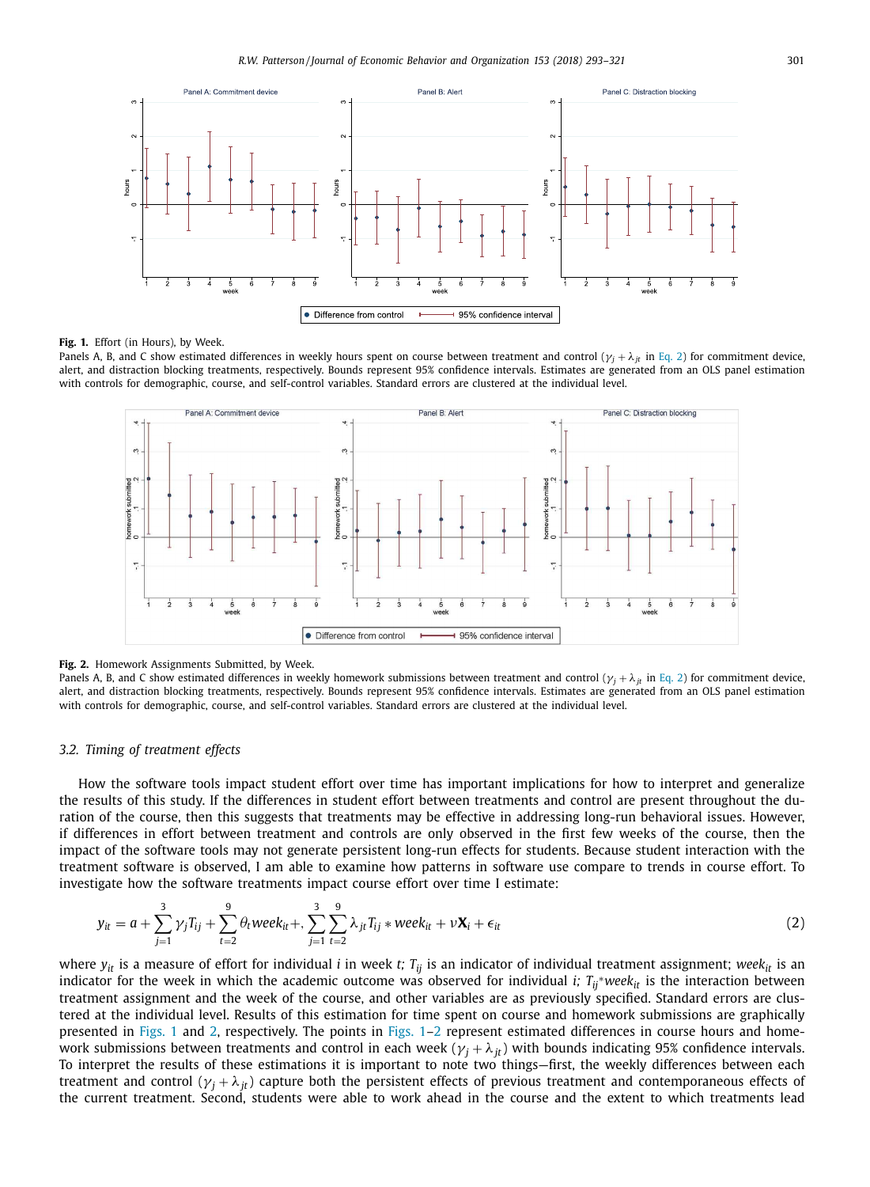

#### **Fig. 1.** Effort (in Hours), by Week.

Panels A, B, and C show estimated differences in weekly hours spent on course between treatment and control  $(\gamma_i + \lambda_{it})$  in Eq. 2) for commitment device, alert, and distraction blocking treatments, respectively. Bounds represent 95% confidence intervals. Estimates are generated from an OLS panel estimation with controls for demographic, course, and self-control variables. Standard errors are clustered at the individual level.



#### **Fig. 2.** Homework Assignments Submitted, by Week.

Panels A, B, and C show estimated differences in weekly homework submissions between treatment and control ( $\gamma_j + \lambda_{jt}$  in Eq. 2) for commitment device, alert, and distraction blocking treatments, respectively. Bounds represent 95% confidence intervals. Estimates are generated from an OLS panel estimation with controls for demographic, course, and self-control variables. Standard errors are clustered at the individual level.

# *3.2. Timing of treatment effects*

How the software tools impact student effort over time has important implications for how to interpret and generalize the results of this study. If the differences in student effort between treatments and control are present throughout the duration of the course, then this suggests that treatments may be effective in addressing long-run behavioral issues. However, if differences in effort between treatment and controls are only observed in the first few weeks of the course, then the impact of the software tools may not generate persistent long-run effects for students. Because student interaction with the treatment software is observed, I am able to examine how patterns in software use compare to trends in course effort. To investigate how the software treatments impact course effort over time I estimate:

$$
y_{it} = a + \sum_{j=1}^{3} \gamma_j T_{ij} + \sum_{t=2}^{9} \theta_t wee k_{it} + \sum_{j=1}^{3} \sum_{t=2}^{9} \lambda_{jt} T_{ij} * wee k_{it} + vX_i + \epsilon_{it}
$$
(2)

where  $y_{it}$  is a measure of effort for individual *i* in week *t*;  $T_{ij}$  is an indicator of individual treatment assignment; *week*<sub>it</sub> is an indicator for the week in which the academic outcome was observed for individual *i;*  $T_{ij}^*$ week<sub>it</sub> is the interaction between treatment assignment and the week of the course, and other variables are as previously specified. Standard errors are clustered at the individual level. Results of this estimation for time spent on course and homework submissions are graphically presented in Figs. 1 and 2, respectively. The points in Figs. 1–2 represent estimated differences in course hours and homework submissions between treatments and control in each week  $(\gamma_i + \lambda_i)$  with bounds indicating 95% confidence intervals. To interpret the results of these estimations it is important to note two things—first, the weekly differences between each treatment and control  $(\gamma_i + \lambda_{it})$  capture both the persistent effects of previous treatment and contemporaneous effects of the current treatment. Second, students were able to work ahead in the course and the extent to which treatments lead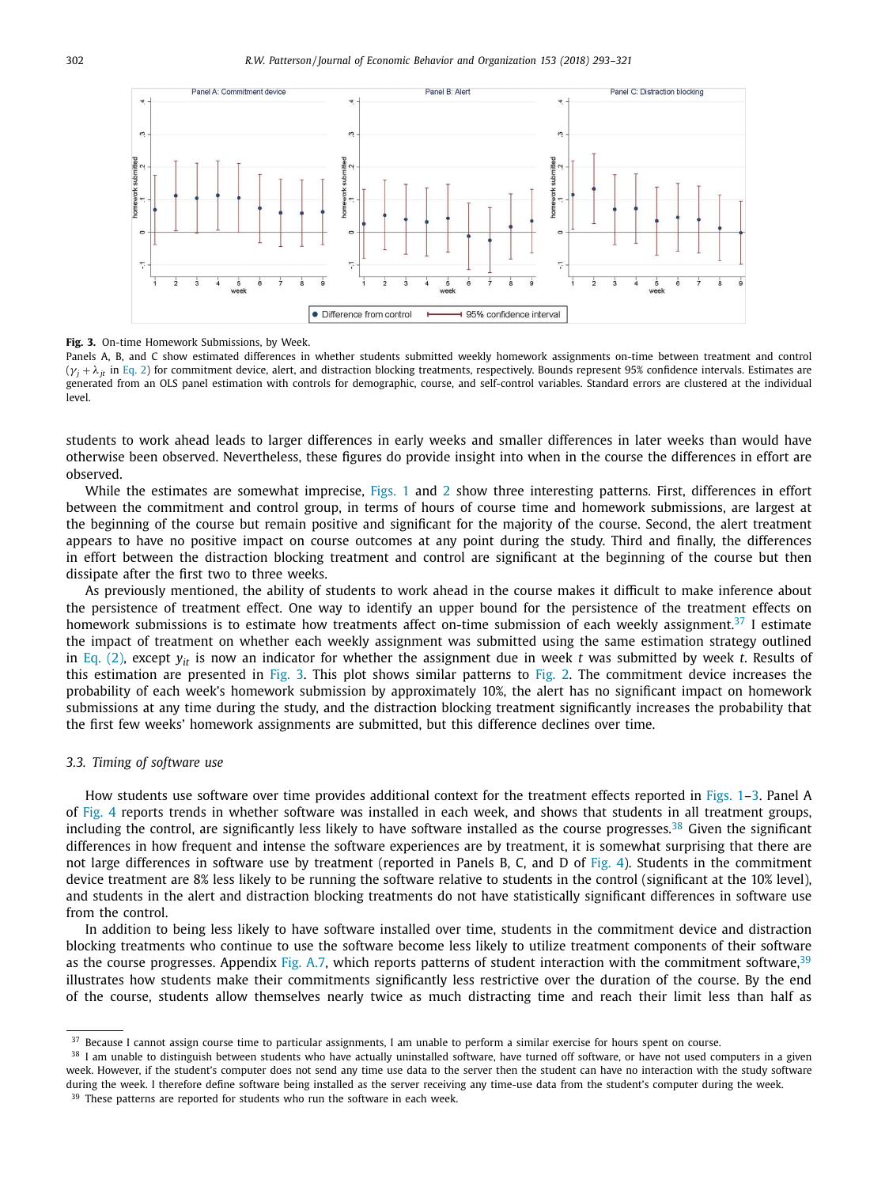

#### **Fig. 3.** On-time Homework Submissions, by Week.

Panels A, B, and C show estimated differences in whether students submitted weekly homework assignments on-time between treatment and control  $(y_i + \lambda_i)$  in Eq. 2) for commitment device, alert, and distraction blocking treatments, respectively. Bounds represent 95% confidence intervals. Estimates are generated from an OLS panel estimation with controls for demographic, course, and self-control variables. Standard errors are clustered at the individual level.

students to work ahead leads to larger differences in early weeks and smaller differences in later weeks than would have otherwise been observed. Nevertheless, these figures do provide insight into when in the course the differences in effort are observed.

While the estimates are somewhat imprecise, Figs. 1 and 2 show three interesting patterns. First, differences in effort between the commitment and control group, in terms of hours of course time and homework submissions, are largest at the beginning of the course but remain positive and significant for the majority of the course. Second, the alert treatment appears to have no positive impact on course outcomes at any point during the study. Third and finally, the differences in effort between the distraction blocking treatment and control are significant at the beginning of the course but then dissipate after the first two to three weeks.

As previously mentioned, the ability of students to work ahead in the course makes it difficult to make inference about the persistence of treatment effect. One way to identify an upper bound for the persistence of the treatment effects on homework submissions is to estimate how treatments affect on-time submission of each weekly assignment.<sup>37</sup> I estimate the impact of treatment on whether each weekly assignment was submitted using the same estimation strategy outlined in Eq. (2), except *yit* is now an indicator for whether the assignment due in week *t* was submitted by week *t*. Results of this estimation are presented in Fig. 3. This plot shows similar patterns to Fig. 2. The commitment device increases the probability of each week's homework submission by approximately 10%, the alert has no significant impact on homework submissions at any time during the study, and the distraction blocking treatment significantly increases the probability that the first few weeks' homework assignments are submitted, but this difference declines over time.

### *3.3. Timing of software use*

How students use software over time provides additional context for the treatment effects reported in Figs. 1–3. Panel A of Fig. 4 reports trends in whether software was installed in each week, and shows that students in all treatment groups, including the control, are significantly less likely to have software installed as the course progresses.<sup>38</sup> Given the significant differences in how frequent and intense the software experiences are by treatment, it is somewhat surprising that there are not large differences in software use by treatment (reported in Panels B, C, and D of Fig. 4). Students in the commitment device treatment are 8% less likely to be running the software relative to students in the control (significant at the 10% level), and students in the alert and distraction blocking treatments do not have statistically significant differences in software use from the control.

In addition to being less likely to have software installed over time, students in the commitment device and distraction blocking treatments who continue to use the software become less likely to utilize treatment components of their software as the course progresses. Appendix Fig. A.7, which reports patterns of student interaction with the commitment software, 39 illustrates how students make their commitments significantly less restrictive over the duration of the course. By the end of the course, students allow themselves nearly twice as much distracting time and reach their limit less than half as

<sup>&</sup>lt;sup>37</sup> Because I cannot assign course time to particular assignments, I am unable to perform a similar exercise for hours spent on course.

<sup>&</sup>lt;sup>38</sup> I am unable to distinguish between students who have actually uninstalled software, have turned off software, or have not used computers in a given week. However, if the student's computer does not send any time use data to the server then the student can have no interaction with the study software during the week. I therefore define software being installed as the server receiving any time-use data from the student's computer during the week.

<sup>&</sup>lt;sup>39</sup> These patterns are reported for students who run the software in each week.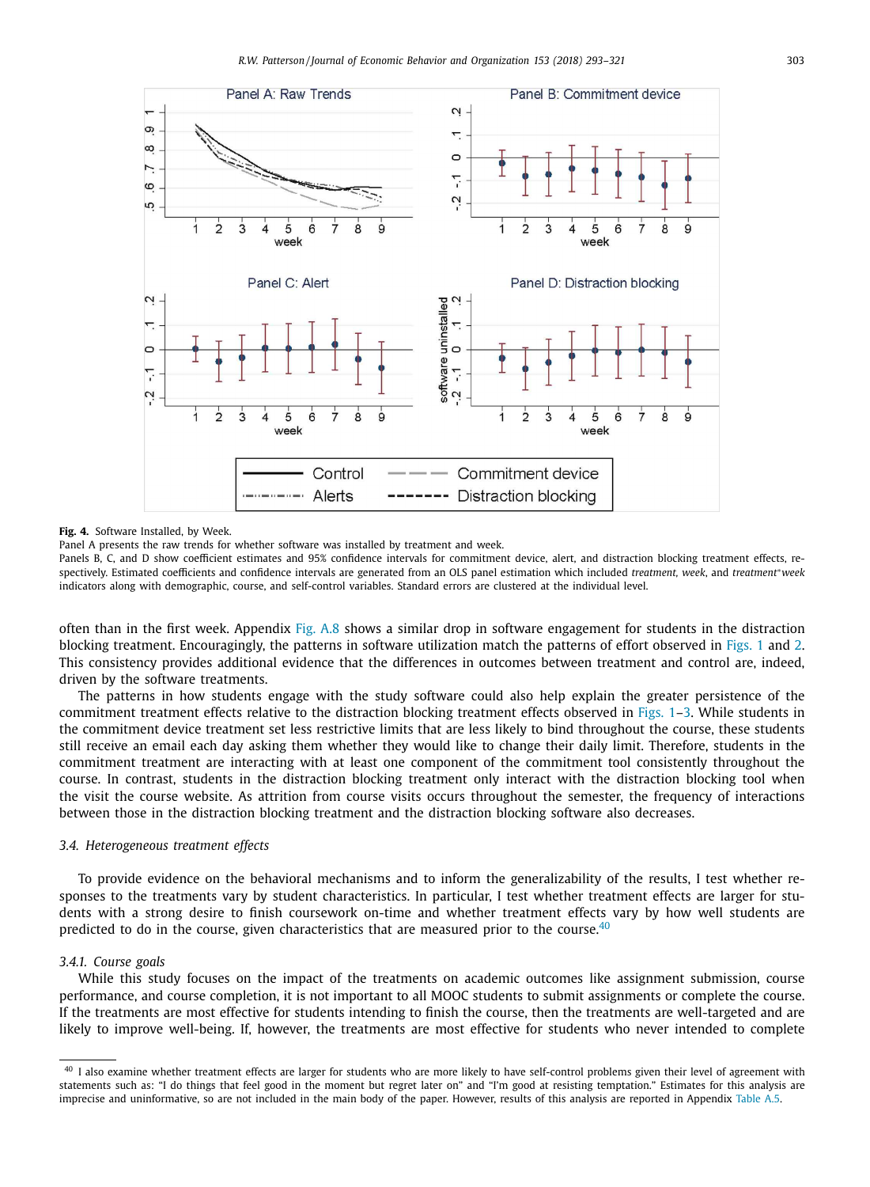

**Fig. 4.** Software Installed, by Week.

Panel A presents the raw trends for whether software was installed by treatment and week.

Panels B, C, and D show coefficient estimates and 95% confidence intervals for commitment device, alert, and distraction blocking treatment effects, respectively. Estimated coefficients and confidence intervals are generated from an OLS panel estimation which included *treatment, week*, and *treatment*<sup>∗</sup>*week* indicators along with demographic, course, and self-control variables. Standard errors are clustered at the individual level.

often than in the first week. Appendix Fig. A.8 shows a similar drop in software engagement for students in the distraction blocking treatment. Encouragingly, the patterns in software utilization match the patterns of effort observed in Figs. 1 and 2. This consistency provides additional evidence that the differences in outcomes between treatment and control are, indeed, driven by the software treatments.

The patterns in how students engage with the study software could also help explain the greater persistence of the commitment treatment effects relative to the distraction blocking treatment effects observed in Figs. 1–3. While students in the commitment device treatment set less restrictive limits that are less likely to bind throughout the course, these students still receive an email each day asking them whether they would like to change their daily limit. Therefore, students in the commitment treatment are interacting with at least one component of the commitment tool consistently throughout the course. In contrast, students in the distraction blocking treatment only interact with the distraction blocking tool when the visit the course website. As attrition from course visits occurs throughout the semester, the frequency of interactions between those in the distraction blocking treatment and the distraction blocking software also decreases.

# *3.4. Heterogeneous treatment effects*

To provide evidence on the behavioral mechanisms and to inform the generalizability of the results, I test whether responses to the treatments vary by student characteristics. In particular, I test whether treatment effects are larger for students with a strong desire to finish coursework on-time and whether treatment effects vary by how well students are predicted to do in the course, given characteristics that are measured prior to the course. $40$ 

# *3.4.1. Course goals*

While this study focuses on the impact of the treatments on academic outcomes like assignment submission, course performance, and course completion, it is not important to all MOOC students to submit assignments or complete the course. If the treatments are most effective for students intending to finish the course, then the treatments are well-targeted and are likely to improve well-being. If, however, the treatments are most effective for students who never intended to complete

<sup>&</sup>lt;sup>40</sup> I also examine whether treatment effects are larger for students who are more likely to have self-control problems given their level of agreement with statements such as: "I do things that feel good in the moment but regret later on" and "I'm good at resisting temptation." Estimates for this analysis are imprecise and uninformative, so are not included in the main body of the paper. However, results of this analysis are reported in Appendix Table A.5.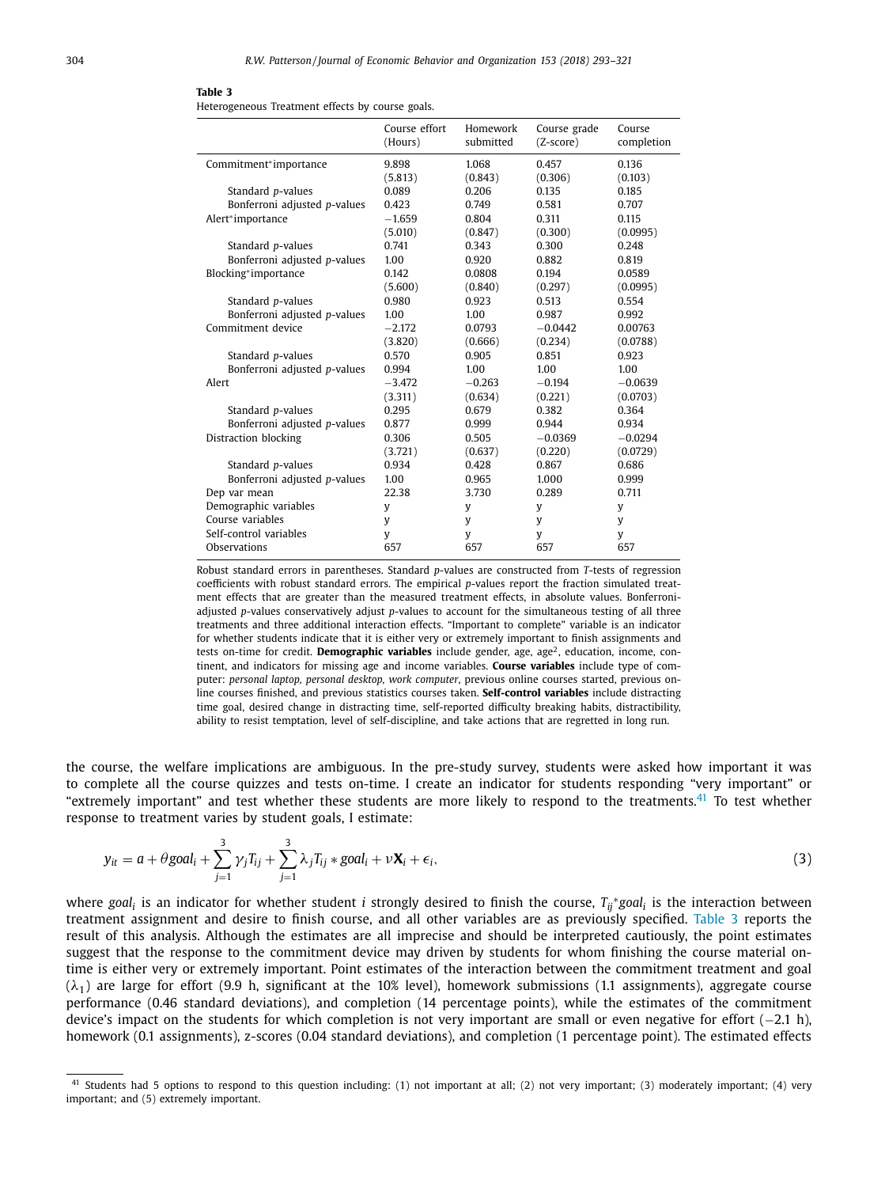# **Table 3**

Heterogeneous Treatment effects by course goals.

|                              | Course effort<br>(Hours) | Homework<br>submitted | Course grade<br>$(Z-score)$ | Course<br>completion |
|------------------------------|--------------------------|-----------------------|-----------------------------|----------------------|
| Commitment*importance        | 9.898                    | 1.068                 | 0.457                       | 0.136                |
|                              | (5.813)                  | (0.843)               | (0.306)                     | (0.103)              |
| Standard p-values            | 0.089                    | 0.206                 | 0.135                       | 0.185                |
| Bonferroni adjusted p-values | 0.423                    | 0.749                 | 0.581                       | 0.707                |
| Alert*importance             | $-1.659$                 | 0.804                 | 0.311                       | 0.115                |
|                              | (5.010)                  | (0.847)               | (0.300)                     | (0.0995)             |
| Standard p-values            | 0.741                    | 0.343                 | 0.300                       | 0.248                |
| Bonferroni adjusted p-values | 1.00                     | 0.920                 | 0.882                       | 0.819                |
| Blocking*importance          | 0.142                    | 0.0808                | 0.194                       | 0.0589               |
|                              | (5.600)                  | (0.840)               | (0.297)                     | (0.0995)             |
| Standard p-values            | 0.980                    | 0.923                 | 0.513                       | 0.554                |
| Bonferroni adjusted p-values | 1.00                     | 1.00                  | 0.987                       | 0.992                |
| Commitment device            | $-2.172$                 | 0.0793                | $-0.0442$                   | 0.00763              |
|                              | (3.820)                  | (0.666)               | (0.234)                     | (0.0788)             |
| Standard p-values            | 0.570                    | 0.905                 | 0.851                       | 0.923                |
| Bonferroni adjusted p-values | 0.994                    | 1.00                  | 1.00                        | 1.00                 |
| Alert                        | $-3.472$                 | $-0.263$              | $-0.194$                    | $-0.0639$            |
|                              | (3.311)                  | (0.634)               | (0.221)                     | (0.0703)             |
| Standard p-values            | 0.295                    | 0.679                 | 0.382                       | 0.364                |
| Bonferroni adjusted p-values | 0.877                    | 0.999                 | 0.944                       | 0.934                |
| Distraction blocking         | 0.306                    | 0.505                 | $-0.0369$                   | $-0.0294$            |
|                              | (3.721)                  | (0.637)               | (0.220)                     | (0.0729)             |
| Standard p-values            | 0.934                    | 0.428                 | 0.867                       | 0.686                |
| Bonferroni adjusted p-values | 1.00                     | 0.965                 | 1.000                       | 0.999                |
| Dep var mean                 | 22.38                    | 3.730                 | 0.289                       | 0.711                |
| Demographic variables        | y                        | у                     | y                           | у                    |
| Course variables             | y                        | y                     | y                           | y                    |
| Self-control variables       | y                        | y                     | у                           | y                    |
| Observations                 | 657                      | 657                   | 657                         | 657                  |

Robust standard errors in parentheses. Standard *p*-values are constructed from *T*-tests of regression coefficients with robust standard errors. The empirical *p*-values report the fraction simulated treatment effects that are greater than the measured treatment effects, in absolute values. Bonferroniadjusted *p*-values conservatively adjust *p*-values to account for the simultaneous testing of all three treatments and three additional interaction effects. "Important to complete" variable is an indicator for whether students indicate that it is either very or extremely important to finish assignments and tests on-time for credit. **Demographic variables** include gender, age, age<sup>2</sup>, education, income, continent, and indicators for missing age and income variables. **Course variables** include type of computer: *personal laptop, personal desktop, work computer*, previous online courses started, previous online courses finished, and previous statistics courses taken. **Self-control variables** include distracting time goal, desired change in distracting time, self-reported difficulty breaking habits, distractibility, ability to resist temptation, level of self-discipline, and take actions that are regretted in long run.

the course, the welfare implications are ambiguous. In the pre-study survey, students were asked how important it was to complete all the course quizzes and tests on-time. I create an indicator for students responding "very important" or "extremely important" and test whether these students are more likely to respond to the treatments. $41$  To test whether response to treatment varies by student goals, I estimate:

$$
y_{it} = a + \theta \text{goal}_i + \sum_{j=1}^3 \gamma_j T_{ij} + \sum_{j=1}^3 \lambda_j T_{ij} * \text{goal}_i + \nu \mathbf{X}_i + \epsilon_i,
$$
\n(3)

where *goal<sup>i</sup>* is an indicator for whether student *i* strongly desired to finish the course, *Tij* <sup>∗</sup>*goal<sup>i</sup>* is the interaction between treatment assignment and desire to finish course, and all other variables are as previously specified. Table 3 reports the result of this analysis. Although the estimates are all imprecise and should be interpreted cautiously, the point estimates suggest that the response to the commitment device may driven by students for whom finishing the course material ontime is either very or extremely important. Point estimates of the interaction between the commitment treatment and goal  $(\lambda_1)$  are large for effort (9.9 h, significant at the 10% level), homework submissions (1.1 assignments), aggregate course performance (0.46 standard deviations), and completion (14 percentage points), while the estimates of the commitment device's impact on the students for which completion is not very important are small or even negative for effort (−2.1 h), homework (0.1 assignments), z-scores (0.04 standard deviations), and completion (1 percentage point). The estimated effects

<sup>41</sup> Students had 5 options to respond to this question including: (1) not important at all; (2) not very important; (3) moderately important; (4) very important; and (5) extremely important.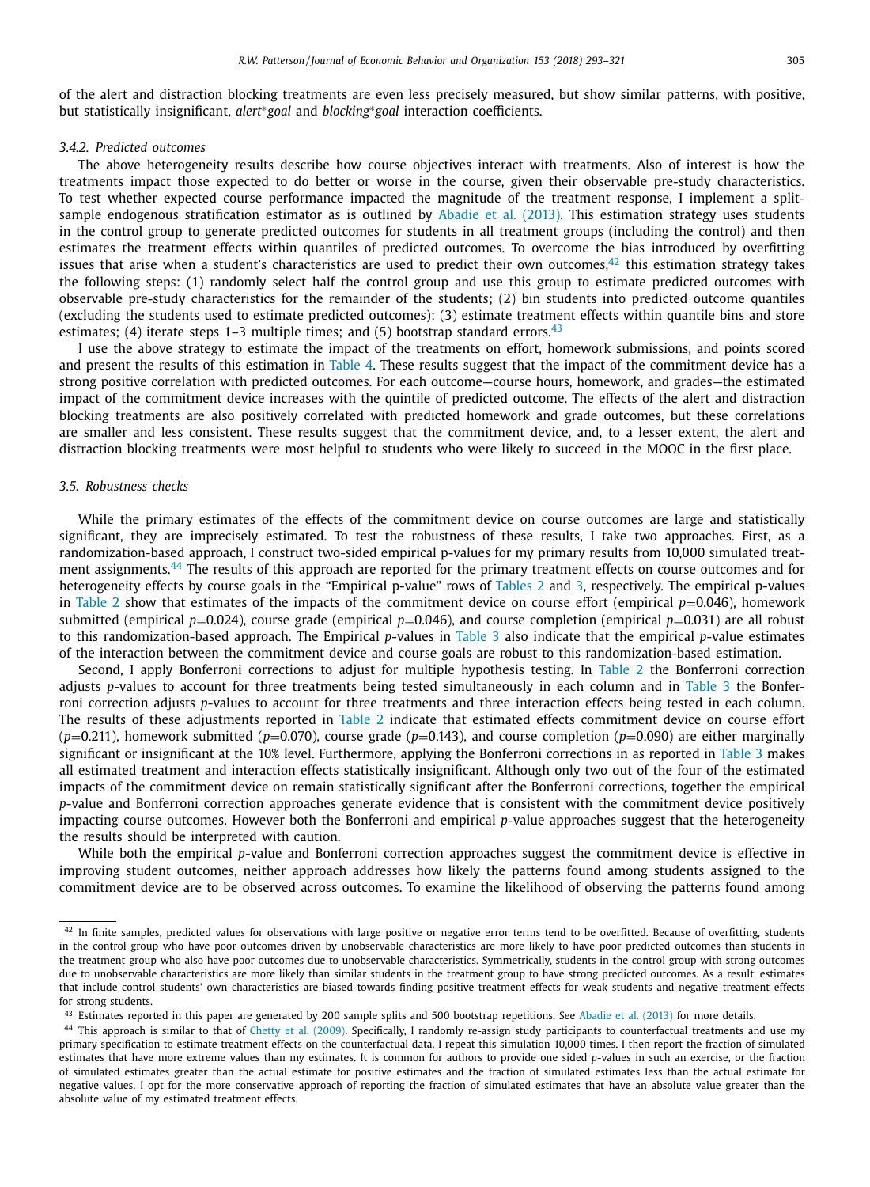of the alert and distraction blocking treatments are even less precisely measured, but show similar patterns, with positive, but statistically insignificant, *alert*∗*goal* and *blocking*∗*goal* interaction coefficients.

# *3.4.2. Predicted outcomes*

The above heterogeneity results describe how course objectives interact with treatments. Also of interest is how the treatments impact those expected to do better or worse in the course, given their observable pre-study characteristics. To test whether expected course performance impacted the magnitude of the treatment response, I implement a splitsample endogenous stratification estimator as is outlined by Abadie et al. (2013). This estimation strategy uses students in the control group to generate predicted outcomes for students in all treatment groups (including the control) and then estimates the treatment effects within quantiles of predicted outcomes. To overcome the bias introduced by overfitting issues that arise when a student's characteristics are used to predict their own outcomes,  $42$  this estimation strategy takes the following steps: (1) randomly select half the control group and use this group to estimate predicted outcomes with observable pre-study characteristics for the remainder of the students; (2) bin students into predicted outcome quantiles (excluding the students used to estimate predicted outcomes); (3) estimate treatment effects within quantile bins and store estimates; (4) iterate steps 1–3 multiple times; and (5) bootstrap standard errors.<sup>43</sup>

I use the above strategy to estimate the impact of the treatments on effort, homework submissions, and points scored and present the results of this estimation in Table 4. These results suggest that the impact of the commitment device has a strong positive correlation with predicted outcomes. For each outcome—course hours, homework, and grades—the estimated impact of the commitment device increases with the quintile of predicted outcome. The effects of the alert and distraction blocking treatments are also positively correlated with predicted homework and grade outcomes, but these correlations are smaller and less consistent. These results suggest that the commitment device, and, to a lesser extent, the alert and distraction blocking treatments were most helpful to students who were likely to succeed in the MOOC in the first place.

# *3.5. Robustness checks*

While the primary estimates of the effects of the commitment device on course outcomes are large and statistically significant, they are imprecisely estimated. To test the robustness of these results, I take two approaches. First, as a randomization-based approach, I construct two-sided empirical p-values for my primary results from 10,000 simulated treatment assignments.<sup>44</sup> The results of this approach are reported for the primary treatment effects on course outcomes and for heterogeneity effects by course goals in the "Empirical p-value" rows of Tables 2 and 3, respectively. The empirical p-values in Table 2 show that estimates of the impacts of the commitment device on course effort (empirical  $p=0.046$ ), homework submitted (empirical *p*=0.024), course grade (empirical *p*=0.046), and course completion (empirical *p*=0.031) are all robust to this randomization-based approach. The Empirical *p*-values in Table 3 also indicate that the empirical *p*-value estimates of the interaction between the commitment device and course goals are robust to this randomization-based estimation.

Second, I apply Bonferroni corrections to adjust for multiple hypothesis testing. In Table 2 the Bonferroni correction adjusts *p*-values to account for three treatments being tested simultaneously in each column and in Table 3 the Bonferroni correction adjusts *p*-values to account for three treatments and three interaction effects being tested in each column. The results of these adjustments reported in Table 2 indicate that estimated effects commitment device on course effort  $(p=0.211)$ , homework submitted ( $p=0.070$ ), course grade ( $p=0.143$ ), and course completion ( $p=0.090$ ) are either marginally significant or insignificant at the 10% level. Furthermore, applying the Bonferroni corrections in as reported in Table 3 makes all estimated treatment and interaction effects statistically insignificant. Although only two out of the four of the estimated impacts of the commitment device on remain statistically significant after the Bonferroni corrections, together the empirical *p*-value and Bonferroni correction approaches generate evidence that is consistent with the commitment device positively impacting course outcomes. However both the Bonferroni and empirical *p*-value approaches suggest that the heterogeneity the results should be interpreted with caution.

While both the empirical *p*-value and Bonferroni correction approaches suggest the commitment device is effective in improving student outcomes, neither approach addresses how likely the patterns found among students assigned to the commitment device are to be observed across outcomes. To examine the likelihood of observing the patterns found among

<sup>42</sup> In finite samples, predicted values for observations with large positive or negative error terms tend to be overfitted. Because of overfitting, students in the control group who have poor outcomes driven by unobservable characteristics are more likely to have poor predicted outcomes than students in the treatment group who also have poor outcomes due to unobservable characteristics. Symmetrically, students in the control group with strong outcomes due to unobservable characteristics are more likely than similar students in the treatment group to have strong predicted outcomes. As a result, estimates that include control students' own characteristics are biased towards finding positive treatment effects for weak students and negative treatment effects for strong students.

<sup>43</sup> Estimates reported in this paper are generated by 200 sample splits and 500 bootstrap repetitions. See Abadie et al. (2013) for more details.

<sup>44</sup> This approach is similar to that of Chetty et al. (2009). Specifically, I randomly re-assign study participants to counterfactual treatments and use my primary specification to estimate treatment effects on the counterfactual data. I repeat this simulation 10,000 times. I then report the fraction of simulated estimates that have more extreme values than my estimates. It is common for authors to provide one sided *p*-values in such an exercise, or the fraction of simulated estimates greater than the actual estimate for positive estimates and the fraction of simulated estimates less than the actual estimate for negative values. I opt for the more conservative approach of reporting the fraction of simulated estimates that have an absolute value greater than the absolute value of my estimated treatment effects.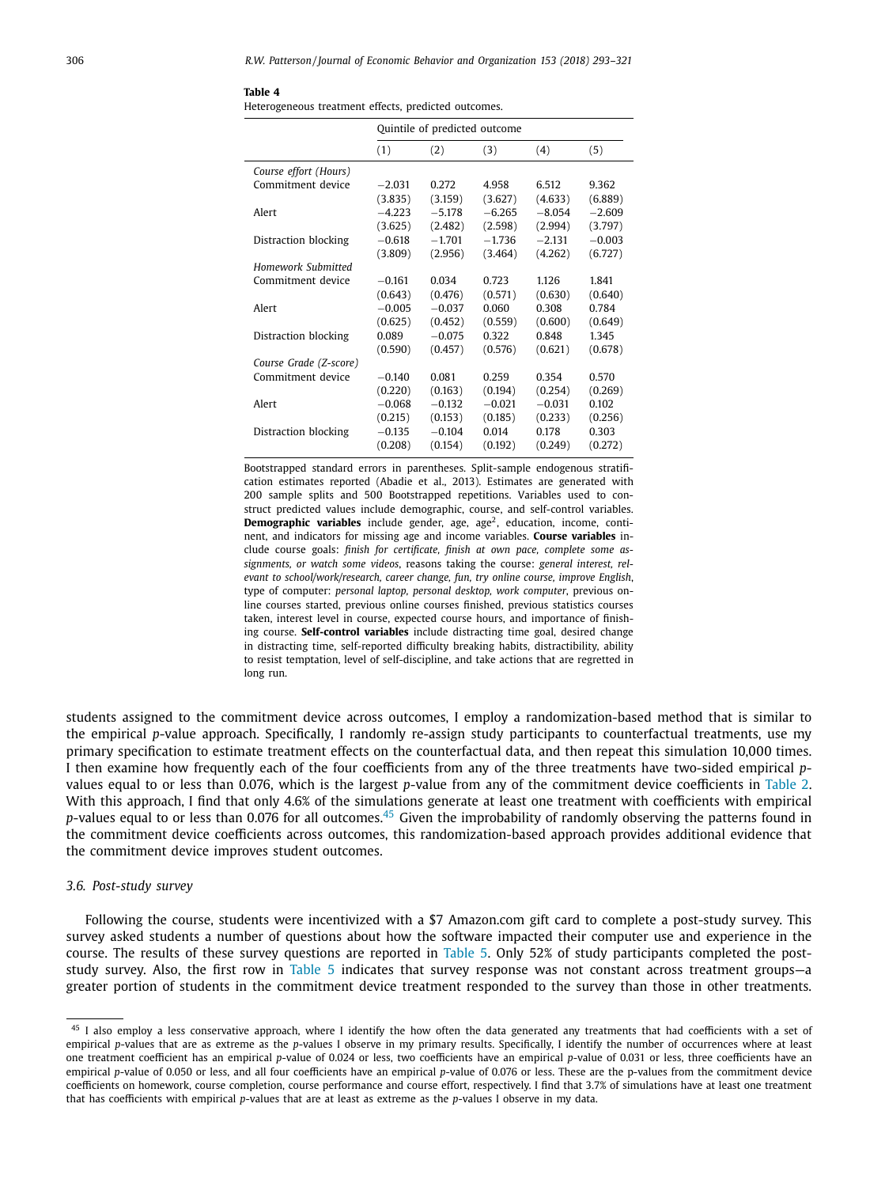#### **Table 4**

Heterogeneous treatment effects, predicted outcomes.

|                        | Quintile of predicted outcome |          |          |          |          |
|------------------------|-------------------------------|----------|----------|----------|----------|
|                        | (1)                           | (2)      | (3)      | (4)      | (5)      |
| Course effort (Hours)  |                               |          |          |          |          |
| Commitment device      | $-2.031$                      | 0.272    | 4.958    | 6.512    | 9.362    |
|                        | (3.835)                       | (3.159)  | (3.627)  | (4.633)  | (6.889)  |
| Alert                  | $-4.223$                      | $-5.178$ | $-6.265$ | $-8.054$ | $-2.609$ |
|                        | (3.625)                       | (2.482)  | (2.598)  | (2.994)  | (3.797)  |
| Distraction blocking   | $-0.618$                      | $-1,701$ | $-1.736$ | $-2.131$ | $-0.003$ |
|                        | (3.809)                       | (2.956)  | (3.464)  | (4.262)  | (6.727)  |
| Homework Submitted     |                               |          |          |          |          |
| Commitment device      | $-0.161$                      | 0.034    | 0.723    | 1.126    | 1.841    |
|                        | (0.643)                       | (0.476)  | (0.571)  | (0.630)  | (0.640)  |
| Alert                  | $-0.005$                      | $-0.037$ | 0.060    | 0.308    | 0.784    |
|                        | (0.625)                       | (0.452)  | (0.559)  | (0.600)  | (0.649)  |
| Distraction blocking   | 0.089                         | $-0.075$ | 0.322    | 0.848    | 1.345    |
|                        | (0.590)                       | (0.457)  | (0.576)  | (0.621)  | (0.678)  |
| Course Grade (Z-score) |                               |          |          |          |          |
| Commitment device      | $-0.140$                      | 0.081    | 0.259    | 0.354    | 0.570    |
|                        | (0.220)                       | (0.163)  | (0.194)  | (0.254)  | (0.269)  |
| Alert                  | $-0.068$                      | $-0.132$ | $-0.021$ | $-0.031$ | 0.102    |
|                        | (0.215)                       | (0.153)  | (0.185)  | (0.233)  | (0.256)  |
| Distraction blocking   | $-0.135$                      | $-0.104$ | 0.014    | 0.178    | 0.303    |
|                        | (0.208)                       | (0.154)  | (0.192)  | (0.249)  | (0.272)  |

Bootstrapped standard errors in parentheses. Split-sample endogenous stratification estimates reported (Abadie et al., 2013). Estimates are generated with 200 sample splits and 500 Bootstrapped repetitions. Variables used to construct predicted values include demographic, course, and self-control variables. **Demographic variables** include gender, age, age<sup>2</sup>, education, income, continent, and indicators for missing age and income variables. **Course variables** include course goals: *finish for certificate, finish at own pace, complete some assignments, or watch some videos*, reasons taking the course: *general interest, relevant to school/work/research, career change, fun, try online course, improve English*, type of computer: *personal laptop, personal desktop, work computer*, previous online courses started, previous online courses finished, previous statistics courses taken, interest level in course, expected course hours, and importance of finishing course. **Self-control variables** include distracting time goal, desired change in distracting time, self-reported difficulty breaking habits, distractibility, ability to resist temptation, level of self-discipline, and take actions that are regretted in long run.

students assigned to the commitment device across outcomes, I employ a randomization-based method that is similar to the empirical *p*-value approach. Specifically, I randomly re-assign study participants to counterfactual treatments, use my primary specification to estimate treatment effects on the counterfactual data, and then repeat this simulation 10,000 times. I then examine how frequently each of the four coefficients from any of the three treatments have two-sided empirical *p*values equal to or less than 0.076, which is the largest *p*-value from any of the commitment device coefficients in Table 2. With this approach, I find that only 4.6% of the simulations generate at least one treatment with coefficients with empirical *p*-values equal to or less than 0.076 for all outcomes.<sup>45</sup> Given the improbability of randomly observing the patterns found in the commitment device coefficients across outcomes, this randomization-based approach provides additional evidence that the commitment device improves student outcomes.

# *3.6. Post-study survey*

Following the course, students were incentivized with a \$7 Amazon.com gift card to complete a post-study survey. This survey asked students a number of questions about how the software impacted their computer use and experience in the course. The results of these survey questions are reported in Table 5. Only 52% of study participants completed the poststudy survey. Also, the first row in Table 5 indicates that survey response was not constant across treatment groups—a greater portion of students in the commitment device treatment responded to the survey than those in other treatments.

<sup>&</sup>lt;sup>45</sup> I also employ a less conservative approach, where I identify the how often the data generated any treatments that had coefficients with a set of empirical *p*-values that are as extreme as the *p*-values I observe in my primary results. Specifically, I identify the number of occurrences where at least one treatment coefficient has an empirical *p*-value of 0.024 or less, two coefficients have an empirical *p*-value of 0.031 or less, three coefficients have an empirical *p*-value of 0.050 or less, and all four coefficients have an empirical *p*-value of 0.076 or less. These are the p-values from the commitment device coefficients on homework, course completion, course performance and course effort, respectively. I find that 3.7% of simulations have at least one treatment that has coefficients with empirical *p*-values that are at least as extreme as the *p*-values I observe in my data.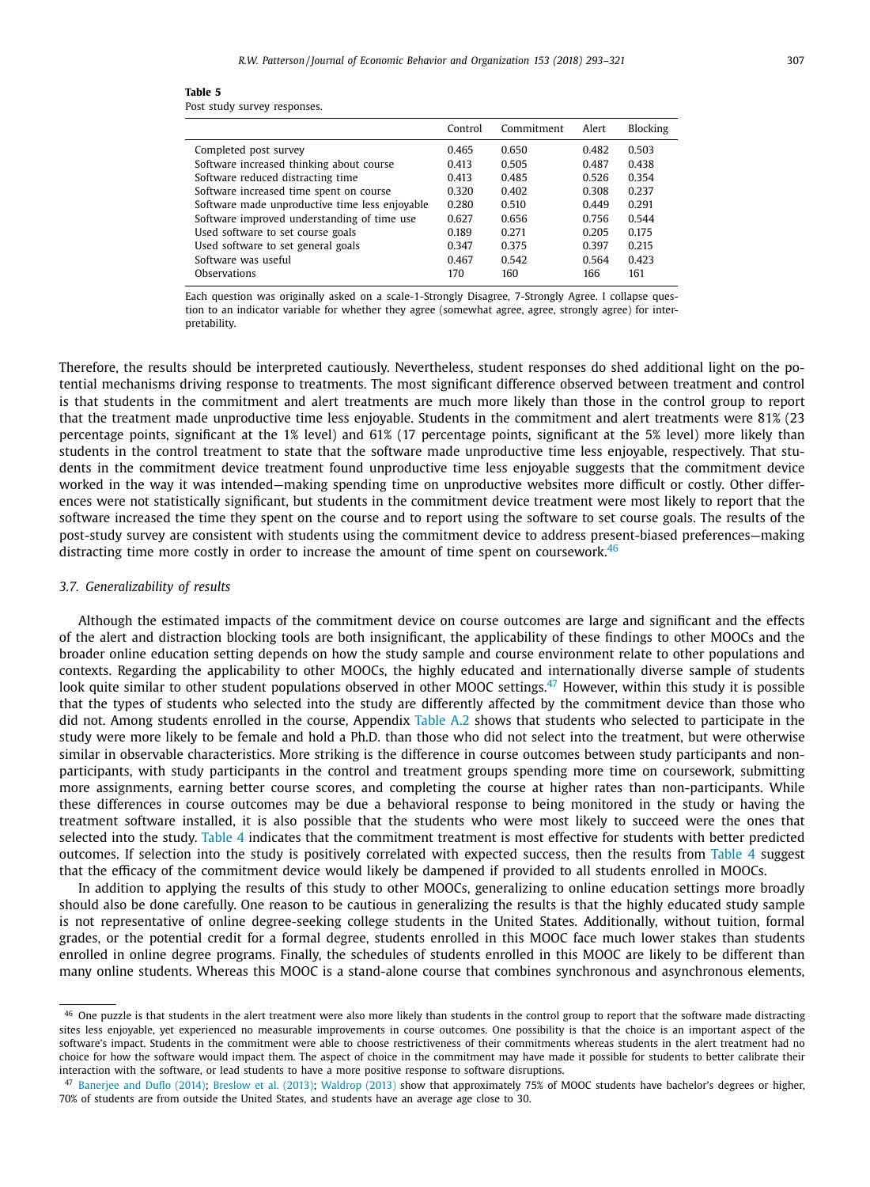|                                                | Control | Commitment | Alert | <b>Blocking</b> |
|------------------------------------------------|---------|------------|-------|-----------------|
| Completed post survey                          | 0.465   | 0.650      | 0.482 | 0.503           |
| Software increased thinking about course       | 0.413   | 0.505      | 0.487 | 0.438           |
| Software reduced distracting time              | 0.413   | 0.485      | 0.526 | 0.354           |
| Software increased time spent on course        | 0.320   | 0.402      | 0.308 | 0.237           |
| Software made unproductive time less enjoyable | 0.280   | 0.510      | 0.449 | 0.291           |
| Software improved understanding of time use    | 0.627   | 0.656      | 0.756 | 0.544           |
| Used software to set course goals              | 0.189   | 0.271      | 0.205 | 0.175           |
| Used software to set general goals             | 0.347   | 0.375      | 0.397 | 0.215           |
| Software was useful                            | 0.467   | 0.542      | 0.564 | 0.423           |
| <b>Observations</b>                            | 170     | 160        | 166   | 161             |
|                                                |         |            |       |                 |

**Table 5** Post study survey responses.

Each question was originally asked on a scale-1-Strongly Disagree, 7-Strongly Agree. I collapse question to an indicator variable for whether they agree (somewhat agree, agree, strongly agree) for interpretability.

Therefore, the results should be interpreted cautiously. Nevertheless, student responses do shed additional light on the potential mechanisms driving response to treatments. The most significant difference observed between treatment and control is that students in the commitment and alert treatments are much more likely than those in the control group to report that the treatment made unproductive time less enjoyable. Students in the commitment and alert treatments were 81% (23 percentage points, significant at the 1% level) and 61% (17 percentage points, significant at the 5% level) more likely than students in the control treatment to state that the software made unproductive time less enjoyable, respectively. That students in the commitment device treatment found unproductive time less enjoyable suggests that the commitment device worked in the way it was intended—making spending time on unproductive websites more difficult or costly. Other differences were not statistically significant, but students in the commitment device treatment were most likely to report that the software increased the time they spent on the course and to report using the software to set course goals. The results of the post-study survey are consistent with students using the commitment device to address present-biased preferences—making distracting time more costly in order to increase the amount of time spent on coursework.<sup>46</sup>

#### *3.7. Generalizability of results*

Although the estimated impacts of the commitment device on course outcomes are large and significant and the effects of the alert and distraction blocking tools are both insignificant, the applicability of these findings to other MOOCs and the broader online education setting depends on how the study sample and course environment relate to other populations and contexts. Regarding the applicability to other MOOCs, the highly educated and internationally diverse sample of students look quite similar to other student populations observed in other MOOC settings.<sup>47</sup> However, within this study it is possible that the types of students who selected into the study are differently affected by the commitment device than those who did not. Among students enrolled in the course, Appendix Table A.2 shows that students who selected to participate in the study were more likely to be female and hold a Ph.D. than those who did not select into the treatment, but were otherwise similar in observable characteristics. More striking is the difference in course outcomes between study participants and nonparticipants, with study participants in the control and treatment groups spending more time on coursework, submitting more assignments, earning better course scores, and completing the course at higher rates than non-participants. While these differences in course outcomes may be due a behavioral response to being monitored in the study or having the treatment software installed, it is also possible that the students who were most likely to succeed were the ones that selected into the study. Table 4 indicates that the commitment treatment is most effective for students with better predicted outcomes. If selection into the study is positively correlated with expected success, then the results from Table 4 suggest that the efficacy of the commitment device would likely be dampened if provided to all students enrolled in MOOCs.

In addition to applying the results of this study to other MOOCs, generalizing to online education settings more broadly should also be done carefully. One reason to be cautious in generalizing the results is that the highly educated study sample is not representative of online degree-seeking college students in the United States. Additionally, without tuition, formal grades, or the potential credit for a formal degree, students enrolled in this MOOC face much lower stakes than students enrolled in online degree programs. Finally, the schedules of students enrolled in this MOOC are likely to be different than many online students. Whereas this MOOC is a stand-alone course that combines synchronous and asynchronous elements,

<sup>&</sup>lt;sup>46</sup> One puzzle is that students in the alert treatment were also more likely than students in the control group to report that the software made distracting sites less enjoyable, yet experienced no measurable improvements in course outcomes. One possibility is that the choice is an important aspect of the software's impact. Students in the commitment were able to choose restrictiveness of their commitments whereas students in the alert treatment had no choice for how the software would impact them. The aspect of choice in the commitment may have made it possible for students to better calibrate their interaction with the software, or lead students to have a more positive response to software disruptions.

<sup>47</sup> Banerjee and Duflo (2014); Breslow et al. (2013); Waldrop (2013) show that approximately 75% of MOOC students have bachelor's degrees or higher, 70% of students are from outside the United States, and students have an average age close to 30.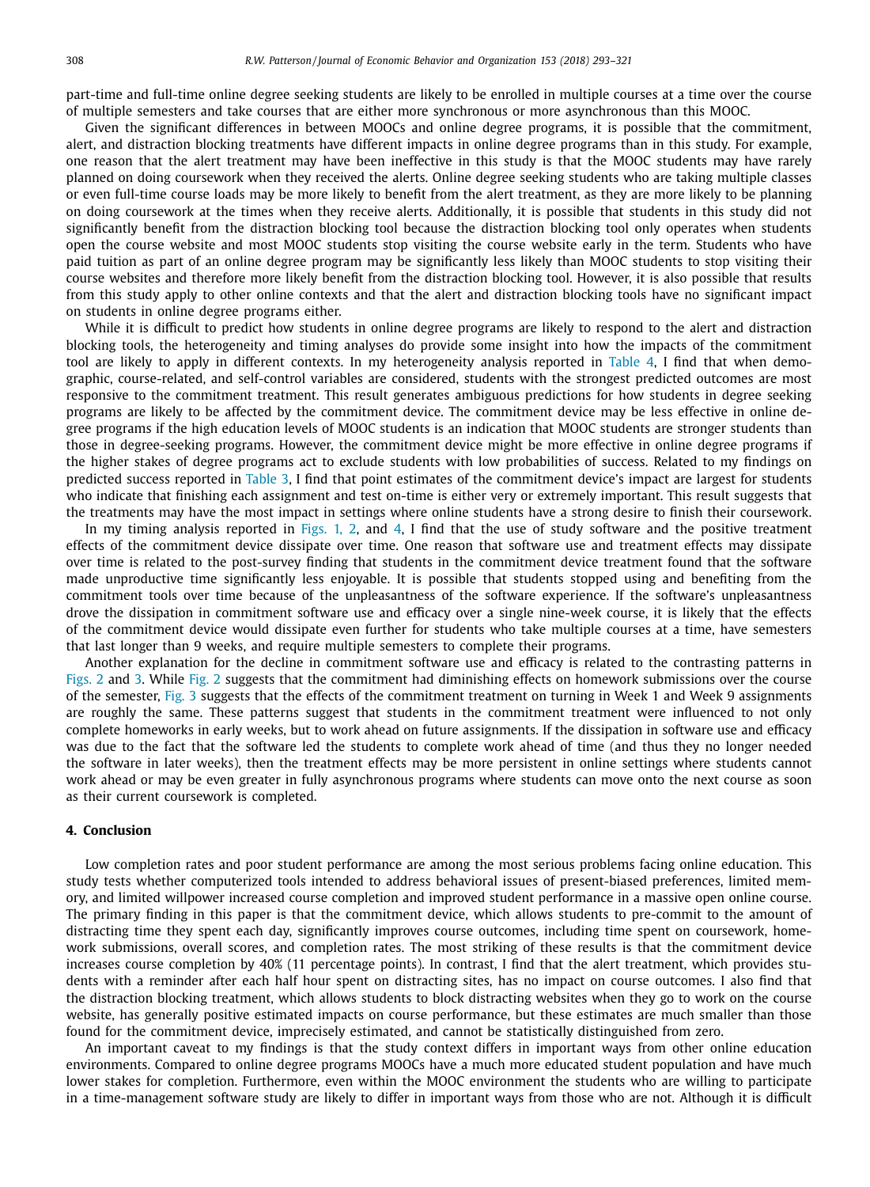part-time and full-time online degree seeking students are likely to be enrolled in multiple courses at a time over the course of multiple semesters and take courses that are either more synchronous or more asynchronous than this MOOC.

Given the significant differences in between MOOCs and online degree programs, it is possible that the commitment, alert, and distraction blocking treatments have different impacts in online degree programs than in this study. For example, one reason that the alert treatment may have been ineffective in this study is that the MOOC students may have rarely planned on doing coursework when they received the alerts. Online degree seeking students who are taking multiple classes or even full-time course loads may be more likely to benefit from the alert treatment, as they are more likely to be planning on doing coursework at the times when they receive alerts. Additionally, it is possible that students in this study did not significantly benefit from the distraction blocking tool because the distraction blocking tool only operates when students open the course website and most MOOC students stop visiting the course website early in the term. Students who have paid tuition as part of an online degree program may be significantly less likely than MOOC students to stop visiting their course websites and therefore more likely benefit from the distraction blocking tool. However, it is also possible that results from this study apply to other online contexts and that the alert and distraction blocking tools have no significant impact on students in online degree programs either.

While it is difficult to predict how students in online degree programs are likely to respond to the alert and distraction blocking tools, the heterogeneity and timing analyses do provide some insight into how the impacts of the commitment tool are likely to apply in different contexts. In my heterogeneity analysis reported in Table 4, I find that when demographic, course-related, and self-control variables are considered, students with the strongest predicted outcomes are most responsive to the commitment treatment. This result generates ambiguous predictions for how students in degree seeking programs are likely to be affected by the commitment device. The commitment device may be less effective in online degree programs if the high education levels of MOOC students is an indication that MOOC students are stronger students than those in degree-seeking programs. However, the commitment device might be more effective in online degree programs if the higher stakes of degree programs act to exclude students with low probabilities of success. Related to my findings on predicted success reported in Table 3, I find that point estimates of the commitment device's impact are largest for students who indicate that finishing each assignment and test on-time is either very or extremely important. This result suggests that the treatments may have the most impact in settings where online students have a strong desire to finish their coursework.

In my timing analysis reported in Figs. 1, 2, and 4, I find that the use of study software and the positive treatment effects of the commitment device dissipate over time. One reason that software use and treatment effects may dissipate over time is related to the post-survey finding that students in the commitment device treatment found that the software made unproductive time significantly less enjoyable. It is possible that students stopped using and benefiting from the commitment tools over time because of the unpleasantness of the software experience. If the software's unpleasantness drove the dissipation in commitment software use and efficacy over a single nine-week course, it is likely that the effects of the commitment device would dissipate even further for students who take multiple courses at a time, have semesters that last longer than 9 weeks, and require multiple semesters to complete their programs.

Another explanation for the decline in commitment software use and efficacy is related to the contrasting patterns in Figs. 2 and 3. While Fig. 2 suggests that the commitment had diminishing effects on homework submissions over the course of the semester, Fig. 3 suggests that the effects of the commitment treatment on turning in Week 1 and Week 9 assignments are roughly the same. These patterns suggest that students in the commitment treatment were influenced to not only complete homeworks in early weeks, but to work ahead on future assignments. If the dissipation in software use and efficacy was due to the fact that the software led the students to complete work ahead of time (and thus they no longer needed the software in later weeks), then the treatment effects may be more persistent in online settings where students cannot work ahead or may be even greater in fully asynchronous programs where students can move onto the next course as soon as their current coursework is completed.

# **4. Conclusion**

Low completion rates and poor student performance are among the most serious problems facing online education. This study tests whether computerized tools intended to address behavioral issues of present-biased preferences, limited memory, and limited willpower increased course completion and improved student performance in a massive open online course. The primary finding in this paper is that the commitment device, which allows students to pre-commit to the amount of distracting time they spent each day, significantly improves course outcomes, including time spent on coursework, homework submissions, overall scores, and completion rates. The most striking of these results is that the commitment device increases course completion by 40% (11 percentage points). In contrast, I find that the alert treatment, which provides students with a reminder after each half hour spent on distracting sites, has no impact on course outcomes. I also find that the distraction blocking treatment, which allows students to block distracting websites when they go to work on the course website, has generally positive estimated impacts on course performance, but these estimates are much smaller than those found for the commitment device, imprecisely estimated, and cannot be statistically distinguished from zero.

An important caveat to my findings is that the study context differs in important ways from other online education environments. Compared to online degree programs MOOCs have a much more educated student population and have much lower stakes for completion. Furthermore, even within the MOOC environment the students who are willing to participate in a time-management software study are likely to differ in important ways from those who are not. Although it is difficult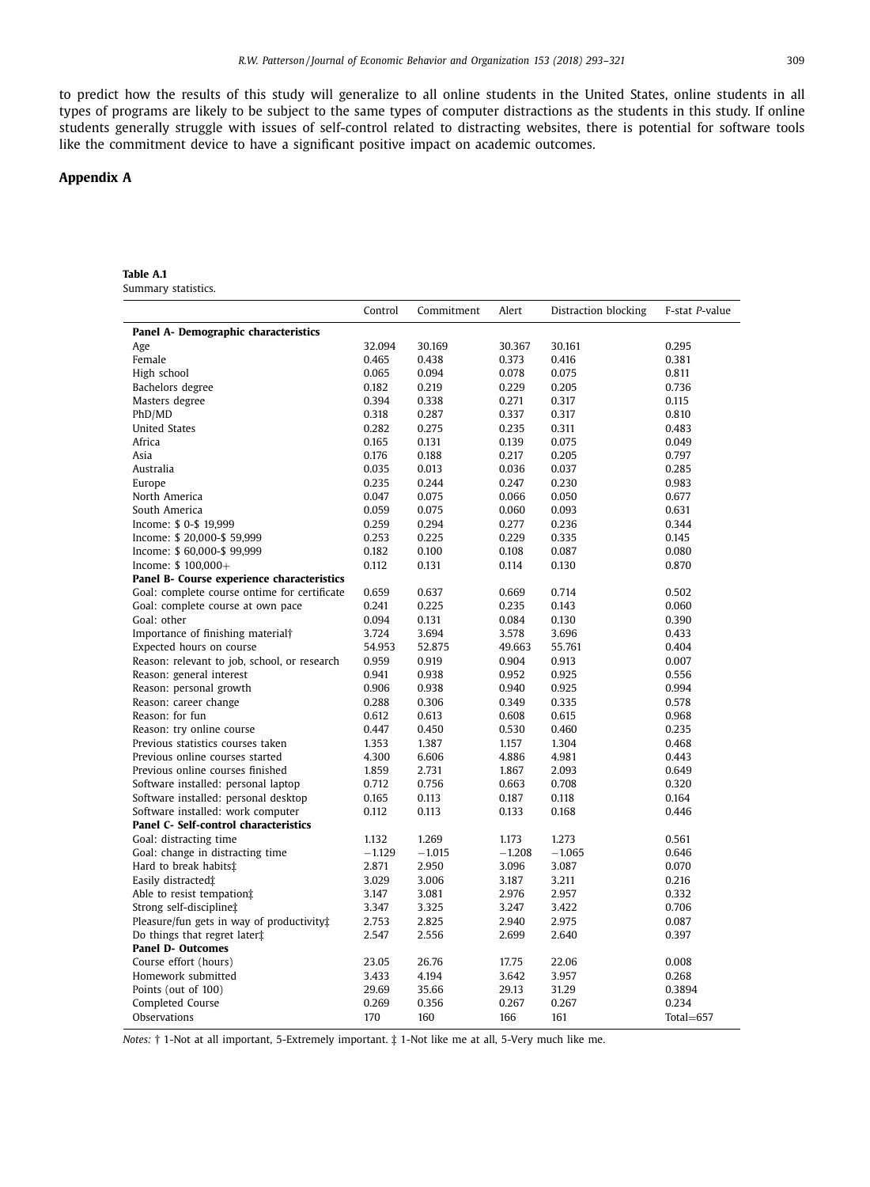to predict how the results of this study will generalize to all online students in the United States, online students in all types of programs are likely to be subject to the same types of computer distractions as the students in this study. If online students generally struggle with issues of self-control related to distracting websites, there is potential for software tools like the commitment device to have a significant positive impact on academic outcomes.

# **Appendix A**

**Table A.1**

| Summary statistics.                           |          |            |          |                      |                |
|-----------------------------------------------|----------|------------|----------|----------------------|----------------|
|                                               | Control  | Commitment | Alert    | Distraction blocking | F-stat P-value |
| Panel A- Demographic characteristics          |          |            |          |                      |                |
| Age                                           | 32.094   | 30.169     | 30.367   | 30.161               | 0.295          |
| Female                                        | 0.465    | 0.438      | 0.373    | 0.416                | 0.381          |
| High school                                   | 0.065    | 0.094      | 0.078    | 0.075                | 0.811          |
| Bachelors degree                              | 0.182    | 0.219      | 0.229    | 0.205                | 0.736          |
| Masters degree                                | 0.394    | 0.338      | 0.271    | 0.317                | 0.115          |
| PhD/MD                                        | 0.318    | 0.287      | 0.337    | 0.317                | 0.810          |
| <b>United States</b>                          | 0.282    | 0.275      | 0.235    | 0.311                | 0.483          |
| Africa                                        | 0.165    | 0.131      | 0.139    | 0.075                | 0.049          |
| Asia                                          | 0.176    | 0.188      | 0.217    | 0.205                | 0.797          |
| Australia                                     | 0.035    | 0.013      | 0.036    | 0.037                | 0.285          |
| Europe                                        | 0.235    | 0.244      | 0.247    | 0.230                | 0.983          |
| North America                                 | 0.047    | 0.075      | 0.066    | 0.050                | 0.677          |
| South America                                 | 0.059    | 0.075      | 0.060    | 0.093                | 0.631          |
| Income: \$ 0-\$ 19.999                        | 0.259    | 0.294      | 0.277    | 0.236                | 0.344          |
| Income: \$20,000-\$59,999                     | 0.253    | 0.225      | 0.229    | 0.335                | 0.145          |
| Income: \$60,000-\$99,999                     | 0.182    | 0.100      | 0.108    | 0.087                | 0.080          |
| Income: $$100,000+$                           | 0.112    | 0.131      | 0.114    | 0.130                | 0.870          |
| Panel B- Course experience characteristics    |          |            |          |                      |                |
| Goal: complete course ontime for certificate  | 0.659    | 0.637      | 0.669    | 0.714                | 0.502          |
| Goal: complete course at own pace             | 0.241    | 0.225      | 0.235    | 0.143                | 0.060          |
| Goal: other                                   | 0.094    | 0.131      | 0.084    | 0.130                | 0.390          |
| Importance of finishing material <sup>†</sup> | 3.724    | 3.694      | 3.578    | 3.696                | 0.433          |
| Expected hours on course                      | 54.953   | 52.875     | 49.663   | 55.761               | 0.404          |
| Reason: relevant to job, school, or research  | 0.959    | 0.919      | 0.904    | 0.913                | 0.007          |
| Reason: general interest                      | 0.941    | 0.938      | 0.952    | 0.925                | 0.556          |
| Reason: personal growth                       | 0.906    | 0.938      | 0.940    | 0.925                | 0.994          |
| Reason: career change                         | 0.288    | 0.306      | 0.349    | 0.335                | 0.578          |
| Reason: for fun                               | 0.612    | 0.613      | 0.608    | 0.615                | 0.968          |
| Reason: try online course                     | 0.447    | 0.450      | 0.530    | 0.460                | 0.235          |
| Previous statistics courses taken             | 1.353    | 1.387      | 1.157    | 1.304                | 0.468          |
| Previous online courses started               | 4.300    | 6.606      | 4.886    | 4.981                | 0.443          |
| Previous online courses finished              | 1.859    | 2.731      | 1.867    | 2.093                | 0.649          |
| Software installed: personal laptop           | 0.712    | 0.756      | 0.663    | 0.708                | 0.320          |
| Software installed: personal desktop          | 0.165    | 0.113      | 0.187    | 0.118                | 0.164          |
| Software installed: work computer             | 0.112    | 0.113      | 0.133    | 0.168                | 0.446          |
| Panel C- Self-control characteristics         |          |            |          |                      |                |
| Goal: distracting time                        | 1.132    | 1.269      | 1.173    | 1.273                | 0.561          |
| Goal: change in distracting time              | $-1.129$ | $-1.015$   | $-1,208$ | $-1.065$             | 0.646          |
| Hard to break habitst                         | 2.871    | 2.950      | 3.096    | 3.087                | 0.070          |
| Easily distracted <sup>+</sup>                | 3.029    | 3.006      | 3.187    | 3.211                | 0.216          |
| Able to resist tempation#                     | 3.147    | 3.081      | 2.976    | 2.957                | 0.332          |
| Strong self-discipline <sup>t</sup>           | 3.347    | 3.325      | 3.247    | 3.422                | 0.706          |
| Pleasure/fun gets in way of productivity#     | 2.753    | 2.825      | 2.940    | 2.975                | 0.087          |
| Do things that regret later‡                  | 2.547    | 2.556      | 2.699    | 2.640                | 0.397          |
| <b>Panel D- Outcomes</b>                      |          |            |          |                      |                |
| Course effort (hours)                         | 23.05    | 26.76      | 17.75    | 22.06                | 0.008          |
| Homework submitted                            | 3.433    | 4.194      | 3.642    | 3.957                | 0.268          |
| Points (out of 100)                           | 29.69    | 35.66      | 29.13    | 31.29                | 0.3894         |
| Completed Course                              | 0.269    | 0.356      | 0.267    | 0.267                | 0.234          |
| Observations                                  | 170      | 160        | 166      | 161                  | Total=657      |

*Notes:* † 1-Not at all important, 5-Extremely important. ‡ 1-Not like me at all, 5-Very much like me.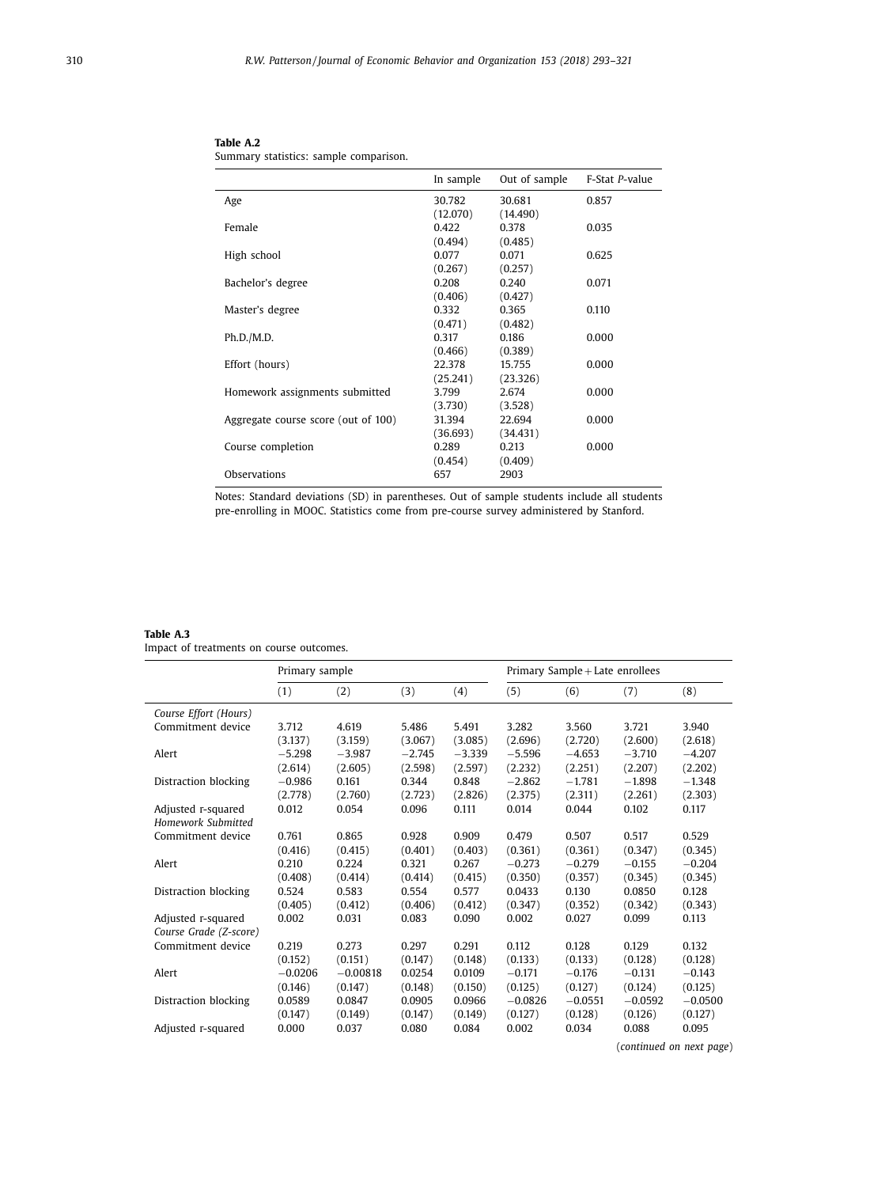| Table A.2 |  |                                        |
|-----------|--|----------------------------------------|
|           |  | Summary statistics: sample comparison. |

|                                     | In sample | Out of sample | F-Stat P-value |
|-------------------------------------|-----------|---------------|----------------|
| Age                                 | 30.782    | 30.681        | 0.857          |
|                                     | (12.070)  | (14.490)      |                |
| Female                              | 0.422     | 0.378         | 0.035          |
|                                     | (0.494)   | (0.485)       |                |
| High school                         | 0.077     | 0.071         | 0.625          |
|                                     | (0.267)   | (0.257)       |                |
| Bachelor's degree                   | 0.208     | 0.240         | 0.071          |
|                                     | (0.406)   | (0.427)       |                |
| Master's degree                     | 0.332     | 0.365         | 0.110          |
|                                     | (0.471)   | (0.482)       |                |
| Ph.D./M.D.                          | 0.317     | 0.186         | 0.000          |
|                                     | (0.466)   | (0.389)       |                |
| Effort (hours)                      | 22.378    | 15.755        | 0.000          |
|                                     | (25.241)  | (23.326)      |                |
| Homework assignments submitted      | 3.799     | 2.674         | 0.000          |
|                                     | (3.730)   | (3.528)       |                |
| Aggregate course score (out of 100) | 31.394    | 22.694        | 0.000          |
|                                     | (36.693)  | (34.431)      |                |
| Course completion                   | 0.289     | 0.213         | 0.000          |
|                                     | (0.454)   | (0.409)       |                |
| Observations                        | 657       | 2903          |                |

Notes: Standard deviations (SD) in parentheses. Out of sample students include all students pre-enrolling in MOOC. Statistics come from pre-course survey administered by Stanford.

# **Table A.3**

Impact of treatments on course outcomes.

|                        | Primary sample |            |          |          | Primary Sample + Late enrollees |           |           |           |
|------------------------|----------------|------------|----------|----------|---------------------------------|-----------|-----------|-----------|
|                        | (1)            | (2)        | (3)      | (4)      | (5)                             | (6)       | (7)       | (8)       |
| Course Effort (Hours)  |                |            |          |          |                                 |           |           |           |
| Commitment device      | 3.712          | 4.619      | 5.486    | 5.491    | 3.282                           | 3.560     | 3.721     | 3.940     |
|                        | (3.137)        | (3.159)    | (3.067)  | (3.085)  | (2.696)                         | (2.720)   | (2.600)   | (2.618)   |
| Alert                  | $-5.298$       | $-3.987$   | $-2.745$ | $-3.339$ | $-5.596$                        | $-4.653$  | $-3.710$  | $-4.207$  |
|                        | (2.614)        | (2.605)    | (2.598)  | (2.597)  | (2.232)                         | (2.251)   | (2.207)   | (2.202)   |
| Distraction blocking   | $-0.986$       | 0.161      | 0.344    | 0.848    | $-2.862$                        | $-1,781$  | $-1.898$  | $-1.348$  |
|                        | (2.778)        | (2.760)    | (2.723)  | (2.826)  | (2.375)                         | (2.311)   | (2.261)   | (2.303)   |
| Adjusted r-squared     | 0.012          | 0.054      | 0.096    | 0.111    | 0.014                           | 0.044     | 0.102     | 0.117     |
| Homework Submitted     |                |            |          |          |                                 |           |           |           |
| Commitment device      | 0.761          | 0.865      | 0.928    | 0.909    | 0.479                           | 0.507     | 0.517     | 0.529     |
|                        | (0.416)        | (0.415)    | (0.401)  | (0.403)  | (0.361)                         | (0.361)   | (0.347)   | (0.345)   |
| Alert                  | 0.210          | 0.224      | 0.321    | 0.267    | $-0.273$                        | $-0.279$  | $-0.155$  | $-0.204$  |
|                        | (0.408)        | (0.414)    | (0.414)  | (0.415)  | (0.350)                         | (0.357)   | (0.345)   | (0.345)   |
| Distraction blocking   | 0.524          | 0.583      | 0.554    | 0.577    | 0.0433                          | 0.130     | 0.0850    | 0.128     |
|                        | (0.405)        | (0.412)    | (0.406)  | (0.412)  | (0.347)                         | (0.352)   | (0.342)   | (0.343)   |
| Adjusted r-squared     | 0.002          | 0.031      | 0.083    | 0.090    | 0.002                           | 0.027     | 0.099     | 0.113     |
| Course Grade (Z-score) |                |            |          |          |                                 |           |           |           |
| Commitment device      | 0.219          | 0.273      | 0.297    | 0.291    | 0.112                           | 0.128     | 0.129     | 0.132     |
|                        | (0.152)        | (0.151)    | (0.147)  | (0.148)  | (0.133)                         | (0.133)   | (0.128)   | (0.128)   |
| Alert                  | $-0.0206$      | $-0.00818$ | 0.0254   | 0.0109   | $-0.171$                        | $-0.176$  | $-0.131$  | $-0.143$  |
|                        | (0.146)        | (0.147)    | (0.148)  | (0.150)  | (0.125)                         | (0.127)   | (0.124)   | (0.125)   |
| Distraction blocking   | 0.0589         | 0.0847     | 0.0905   | 0.0966   | $-0.0826$                       | $-0.0551$ | $-0.0592$ | $-0.0500$ |
|                        | (0.147)        | (0.149)    | (0.147)  | (0.149)  | (0.127)                         | (0.128)   | (0.126)   | (0.127)   |
| Adjusted r-squared     | 0.000          | 0.037      | 0.080    | 0.084    | 0.002                           | 0.034     | 0.088     | 0.095     |
|                        |                |            |          |          |                                 |           |           |           |

(*continued on next page*)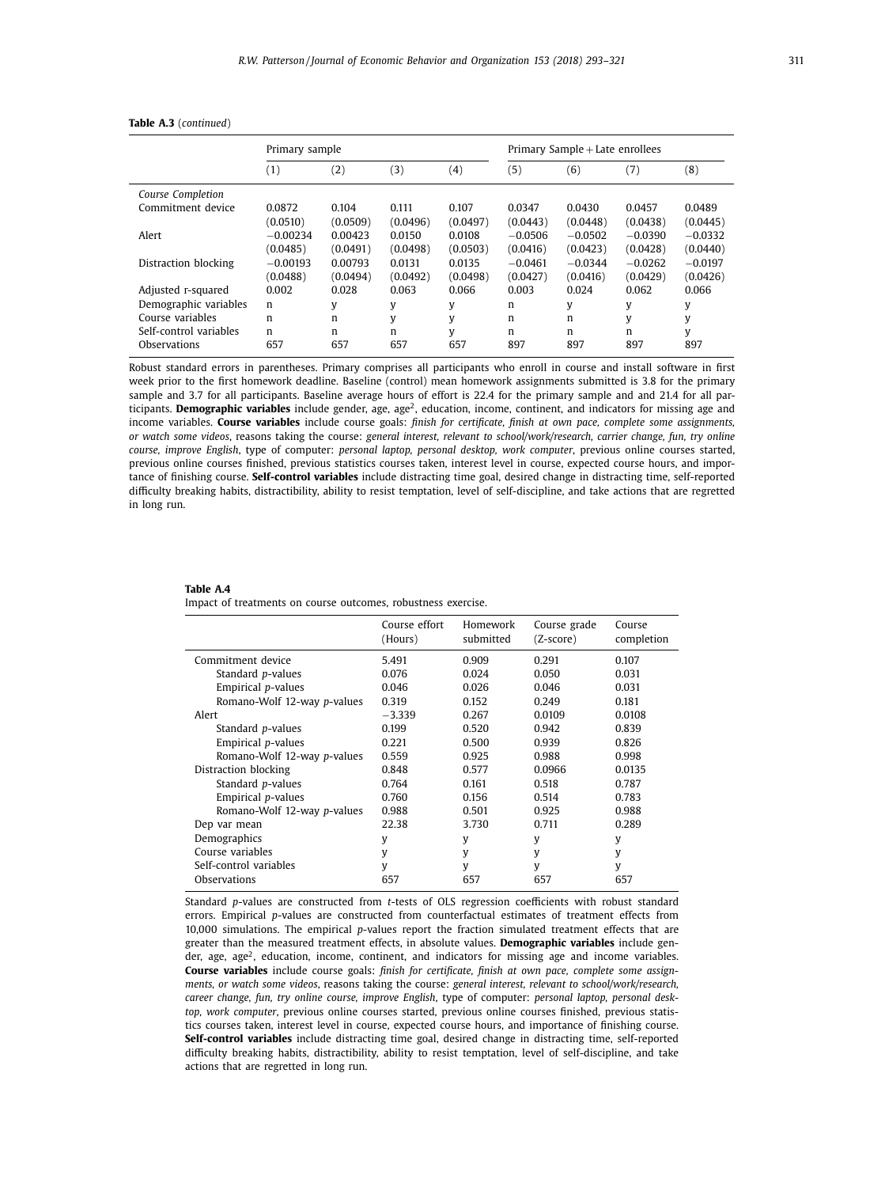|                        | Primary sample |          |                  | Primary Sample $+$ Late enrollees |           |           |           |           |
|------------------------|----------------|----------|------------------|-----------------------------------|-----------|-----------|-----------|-----------|
|                        | (1)            | (2)      | $\left(3\right)$ | (4)                               | (5)       | (6)       | (7)       | (8)       |
| Course Completion      |                |          |                  |                                   |           |           |           |           |
| Commitment device      | 0.0872         | 0.104    | 0.111            | 0.107                             | 0.0347    | 0.0430    | 0.0457    | 0.0489    |
|                        | (0.0510)       | (0.0509) | (0.0496)         | (0.0497)                          | (0.0443)  | (0.0448)  | (0.0438)  | (0.0445)  |
| Alert                  | $-0.00234$     | 0.00423  | 0.0150           | 0.0108                            | $-0.0506$ | $-0.0502$ | $-0.0390$ | $-0.0332$ |
|                        | (0.0485)       | (0.0491) | (0.0498)         | (0.0503)                          | (0.0416)  | (0.0423)  | (0.0428)  | (0.0440)  |
| Distraction blocking   | $-0.00193$     | 0.00793  | 0.0131           | 0.0135                            | $-0.0461$ | $-0.0344$ | $-0.0262$ | $-0.0197$ |
|                        | (0.0488)       | (0.0494) | (0.0492)         | (0.0498)                          | (0.0427)  | (0.0416)  | (0.0429)  | (0.0426)  |
| Adjusted r-squared     | 0.002          | 0.028    | 0.063            | 0.066                             | 0.003     | 0.024     | 0.062     | 0.066     |
| Demographic variables  | n              | y        | у                | y                                 | n         | y         | у         | у         |
| Course variables       | n              | n        | y                | y                                 | n         | n         | y         | y         |
| Self-control variables | n              | n        | n                | y                                 | n         | n         | n         | у         |
| Observations           | 657            | 657      | 657              | 657                               | 897       | 897       | 897       | 897       |

**Table A.3** (*continued*)

Robust standard errors in parentheses. Primary comprises all participants who enroll in course and install software in first week prior to the first homework deadline. Baseline (control) mean homework assignments submitted is 3.8 for the primary sample and 3.7 for all participants. Baseline average hours of effort is 22.4 for the primary sample and and 21.4 for all participants. Demographic variables include gender, age, age<sup>2</sup>, education, income, continent, and indicators for missing age and income variables. **Course variables** include course goals: *finish for certificate, finish at own pace, complete some assignments,* or watch some videos, reasons taking the course: general interest, relevant to school/work/research, carrier change, fun, try online *course, improve English*, type of computer: *personal laptop, personal desktop, work computer*, previous online courses started, previous online courses finished, previous statistics courses taken, interest level in course, expected course hours, and importance of finishing course. **Self-control variables** include distracting time goal, desired change in distracting time, self-reported difficulty breaking habits, distractibility, ability to resist temptation, level of self-discipline, and take actions that are regretted in long run.

#### **Table A.4**

Impact of treatments on course outcomes, robustness exercise.

|                             | Course effort<br>(Hours) | Homework<br>submitted | Course grade<br>(Z-score) | Course<br>completion |
|-----------------------------|--------------------------|-----------------------|---------------------------|----------------------|
| Commitment device           | 5.491                    | 0.909                 | 0.291                     | 0.107                |
| Standard p-values           | 0.076                    | 0.024                 | 0.050                     | 0.031                |
| Empirical <i>p</i> -values  | 0.046                    | 0.026                 | 0.046                     | 0.031                |
| Romano-Wolf 12-way p-values | 0.319                    | 0.152                 | 0.249                     | 0.181                |
| Alert                       | $-3.339$                 | 0.267                 | 0.0109                    | 0.0108               |
| Standard p-values           | 0.199                    | 0.520                 | 0.942                     | 0.839                |
| Empirical <i>p</i> -values  | 0.221                    | 0.500                 | 0.939                     | 0.826                |
| Romano-Wolf 12-way p-values | 0.559                    | 0.925                 | 0.988                     | 0.998                |
| Distraction blocking        | 0.848                    | 0.577                 | 0.0966                    | 0.0135               |
| Standard p-values           | 0.764                    | 0.161                 | 0.518                     | 0.787                |
| Empirical <i>p</i> -values  | 0.760                    | 0.156                 | 0.514                     | 0.783                |
| Romano-Wolf 12-way p-values | 0.988                    | 0.501                 | 0.925                     | 0.988                |
| Dep var mean                | 22.38                    | 3.730                 | 0.711                     | 0.289                |
| Demographics                | y                        | у                     | y                         | y                    |
| Course variables            | y                        | у                     | y                         | y                    |
| Self-control variables      | y                        | y                     | ٧                         | V                    |
| Observations                | 657                      | 657                   | 657                       | 657                  |

Standard *p*-values are constructed from *t*-tests of OLS regression coefficients with robust standard errors. Empirical *p*-values are constructed from counterfactual estimates of treatment effects from 10,000 simulations. The empirical *p*-values report the fraction simulated treatment effects that are greater than the measured treatment effects, in absolute values. **Demographic variables** include gender, age, age<sup>2</sup>, education, income, continent, and indicators for missing age and income variables. **Course variables** include course goals: *finish for certificate, finish at own pace, complete some assignments, or watch some videos*, reasons taking the course: *general interest, relevant to school/work/research, career change, fun, try online course, improve English*, type of computer: *personal laptop, personal desktop, work computer*, previous online courses started, previous online courses finished, previous statistics courses taken, interest level in course, expected course hours, and importance of finishing course. **Self-control variables** include distracting time goal, desired change in distracting time, self-reported difficulty breaking habits, distractibility, ability to resist temptation, level of self-discipline, and take actions that are regretted in long run.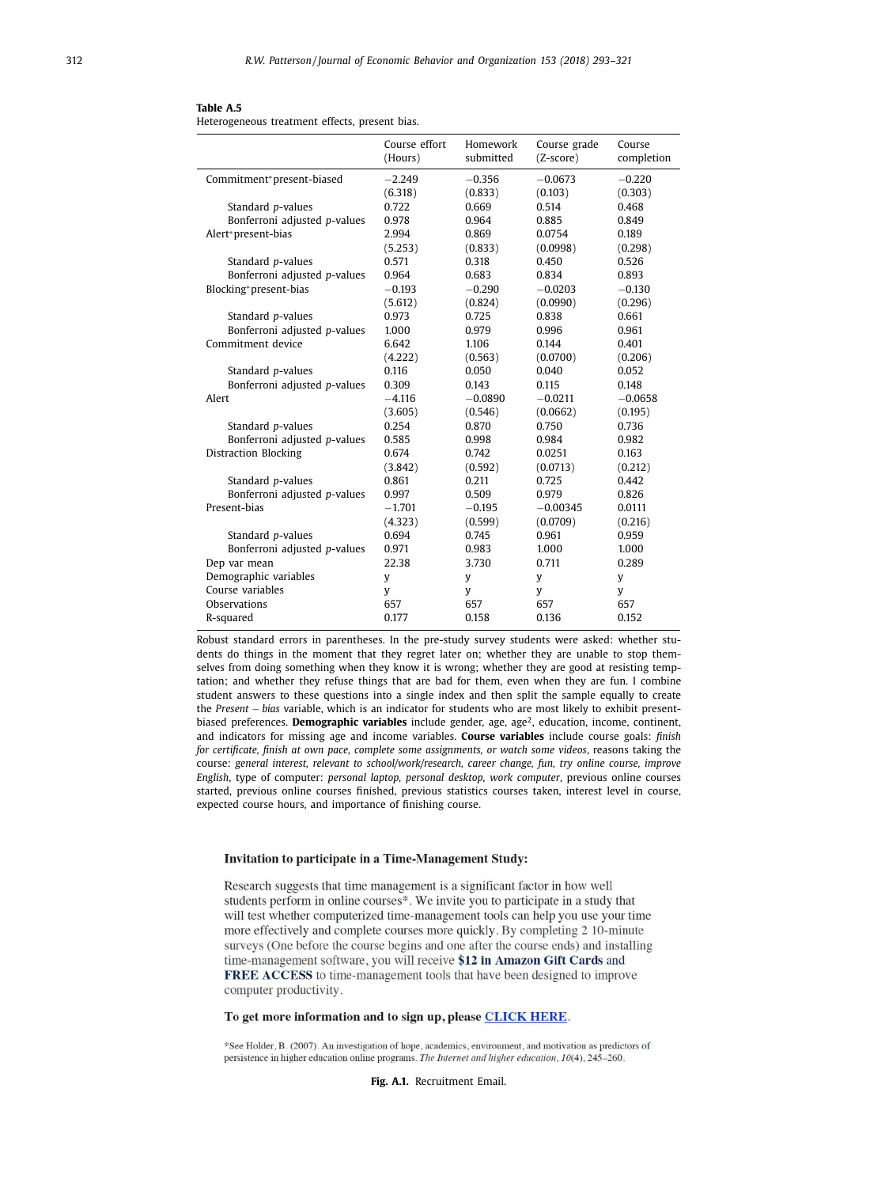#### **Table A.5**

Heterogeneous treatment effects, present bias.

|                              | Course effort<br>(Hours) | Homework<br>submitted | Course grade<br>$(Z-score)$ | Course<br>completion |
|------------------------------|--------------------------|-----------------------|-----------------------------|----------------------|
| Commitment*present-biased    | $-2.249$                 | $-0.356$              | $-0.0673$                   | $-0.220$             |
|                              | (6.318)                  | (0.833)               | (0.103)                     | (0.303)              |
| Standard p-values            | 0.722                    | 0.669                 | 0.514                       | 0.468                |
| Bonferroni adjusted p-values | 0.978                    | 0.964                 | 0.885                       | 0.849                |
| Alert*present-bias           | 2.994                    | 0.869                 | 0.0754                      | 0.189                |
|                              | (5.253)                  | (0.833)               | (0.0998)                    | (0.298)              |
| Standard p-values            | 0.571                    | 0.318                 | 0.450                       | 0.526                |
| Bonferroni adjusted p-values | 0.964                    | 0.683                 | 0.834                       | 0.893                |
| Blocking*present-bias        | $-0.193$                 | $-0.290$              | $-0.0203$                   | $-0.130$             |
|                              | (5.612)                  | (0.824)               | (0.0990)                    | (0.296)              |
| Standard p-values            | 0.973                    | 0.725                 | 0.838                       | 0.661                |
| Bonferroni adjusted p-values | 1.000                    | 0.979                 | 0.996                       | 0.961                |
| Commitment device            | 6.642                    | 1.106                 | 0.144                       | 0.401                |
|                              | (4.222)                  | (0.563)               | (0.0700)                    | (0.206)              |
| Standard p-values            | 0.116                    | 0.050                 | 0.040                       | 0.052                |
| Bonferroni adjusted p-values | 0.309                    | 0.143                 | 0.115                       | 0.148                |
| Alert                        | $-4.116$                 | $-0.0890$             | $-0.0211$                   | $-0.0658$            |
|                              | (3.605)                  | (0.546)               | (0.0662)                    | (0.195)              |
| Standard p-values            | 0.254                    | 0.870                 | 0.750                       | 0.736                |
| Bonferroni adjusted p-values | 0.585                    | 0.998                 | 0.984                       | 0.982                |
| <b>Distraction Blocking</b>  | 0.674                    | 0.742                 | 0.0251                      | 0.163                |
|                              | (3.842)                  | (0.592)               | (0.0713)                    | (0.212)              |
| Standard p-values            | 0.861                    | 0.211                 | 0.725                       | 0.442                |
| Bonferroni adjusted p-values | 0.997                    | 0.509                 | 0.979                       | 0.826                |
| Present-bias                 | $-1.701$                 | $-0.195$              | $-0.00345$                  | 0.0111               |
|                              | (4.323)                  | (0.599)               | (0.0709)                    | (0.216)              |
| Standard p-values            | 0.694                    | 0.745                 | 0.961                       | 0.959                |
| Bonferroni adjusted p-values | 0.971                    | 0.983                 | 1.000                       | 1.000                |
| Dep var mean                 | 22.38                    | 3.730                 | 0.711                       | 0.289                |
| Demographic variables        | y                        | у                     | у                           | у                    |
| Course variables             | y                        | y                     | y                           | y                    |
| <b>Observations</b>          | 657                      | 657                   | 657                         | 657                  |
| R-squared                    | 0.177                    | 0.158                 | 0.136                       | 0.152                |

Robust standard errors in parentheses. In the pre-study survey students were asked: whether students do things in the moment that they regret later on; whether they are unable to stop themselves from doing something when they know it is wrong; whether they are good at resisting temptation; and whether they refuse things that are bad for them, even when they are fun. I combine student answers to these questions into a single index and then split the sample equally to create the *Present* − *bias* variable, which is an indicator for students who are most likely to exhibit presentbiased preferences. Demographic variables include gender, age, age<sup>2</sup>, education, income, continent, and indicators for missing age and income variables. **Course variables** include course goals: *finish for certificate, finish at own pace, complete some assignments, or watch some videos*, reasons taking the course: *general interest, relevant to school/work/research, career change, fun, try online course, improve English*, type of computer: *personal laptop, personal desktop, work computer*, previous online courses started, previous online courses finished, previous statistics courses taken, interest level in course, expected course hours, and importance of finishing course.

# Invitation to participate in a Time-Management Study:

Research suggests that time management is a significant factor in how well students perform in online courses\*. We invite you to participate in a study that will test whether computerized time-management tools can help you use your time more effectively and complete courses more quickly. By completing 2 10-minute surveys (One before the course begins and one after the course ends) and installing time-management software, you will receive \$12 in Amazon Gift Cards and FREE ACCESS to time-management tools that have been designed to improve computer productivity.

#### To get more information and to sign up, please CLICK HERE.

\*See Holder, B. (2007). An investigation of hope, academics, environment, and motivation as predictors of persistence in higher education online programs. The Internet and higher education, 10(4), 245-260.

**Fig. A.1.** Recruitment Email.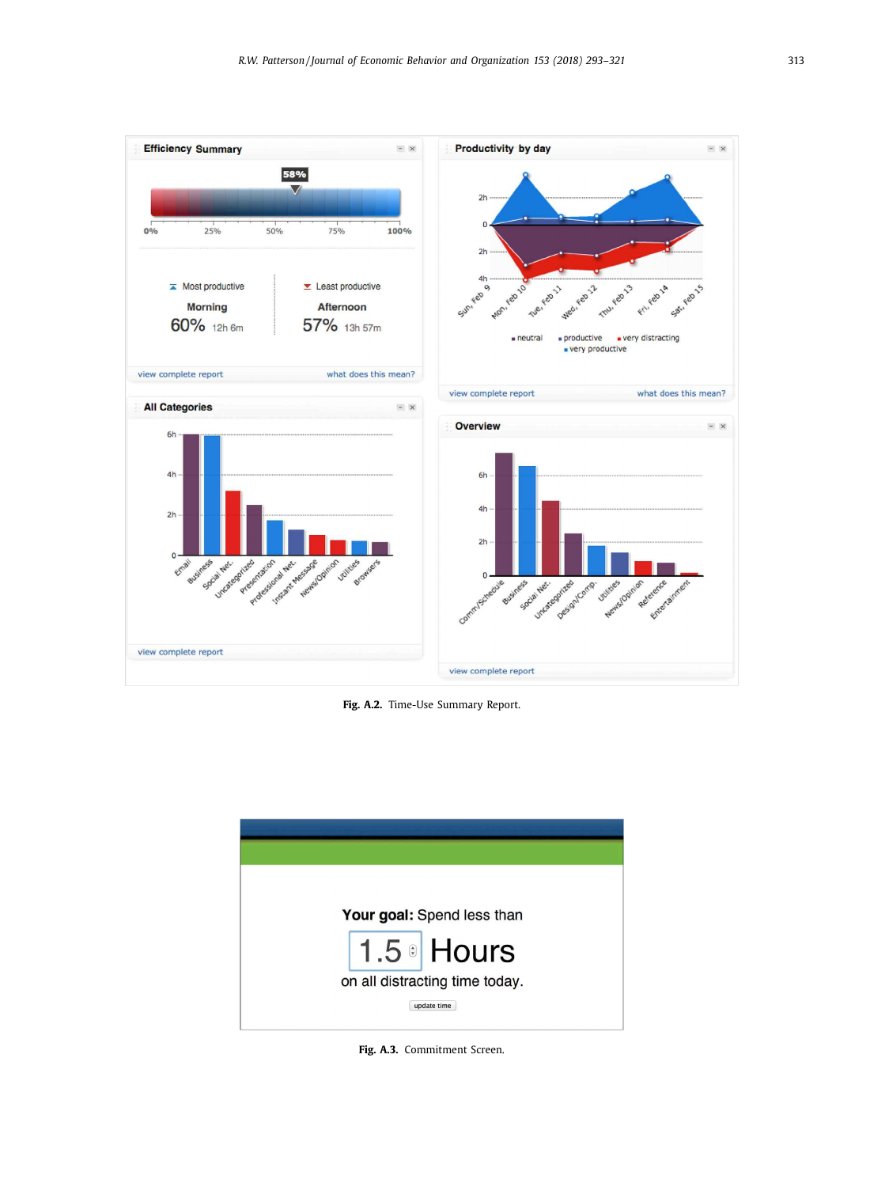

**Fig. A.2.** Time-Use Summary Report.



**Fig. A.3.** Commitment Screen.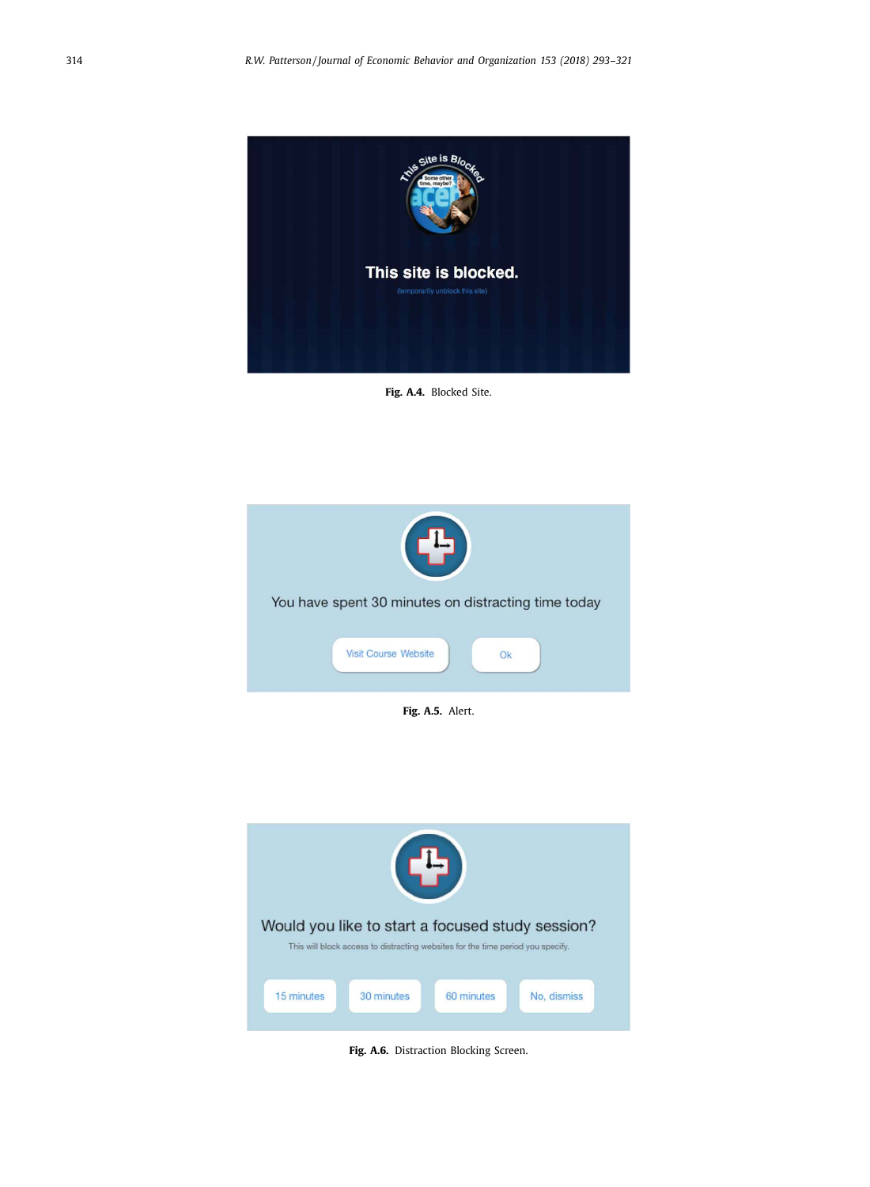

**Fig. A.4.** Blocked Site.







**Fig. A.6.** Distraction Blocking Screen.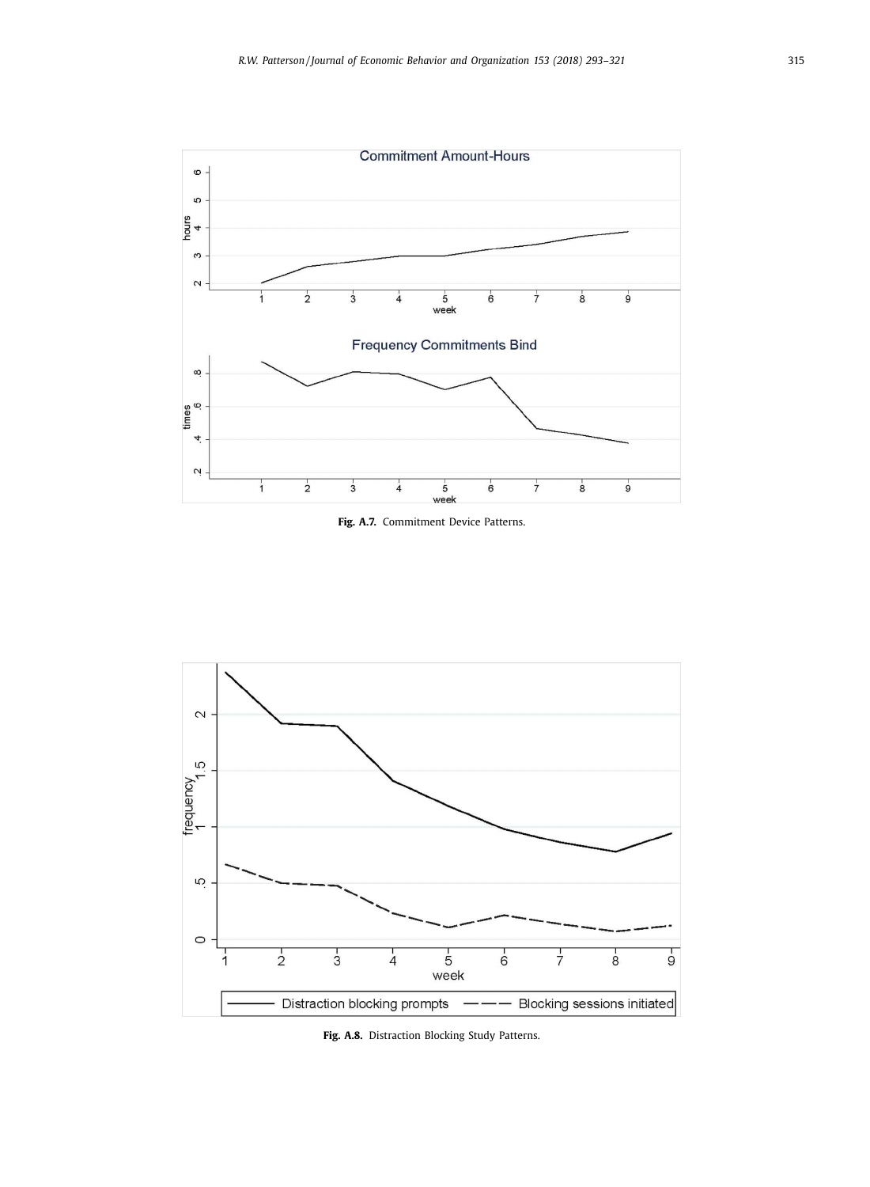

**Fig. A.7.** Commitment Device Patterns.



**Fig. A.8.** Distraction Blocking Study Patterns.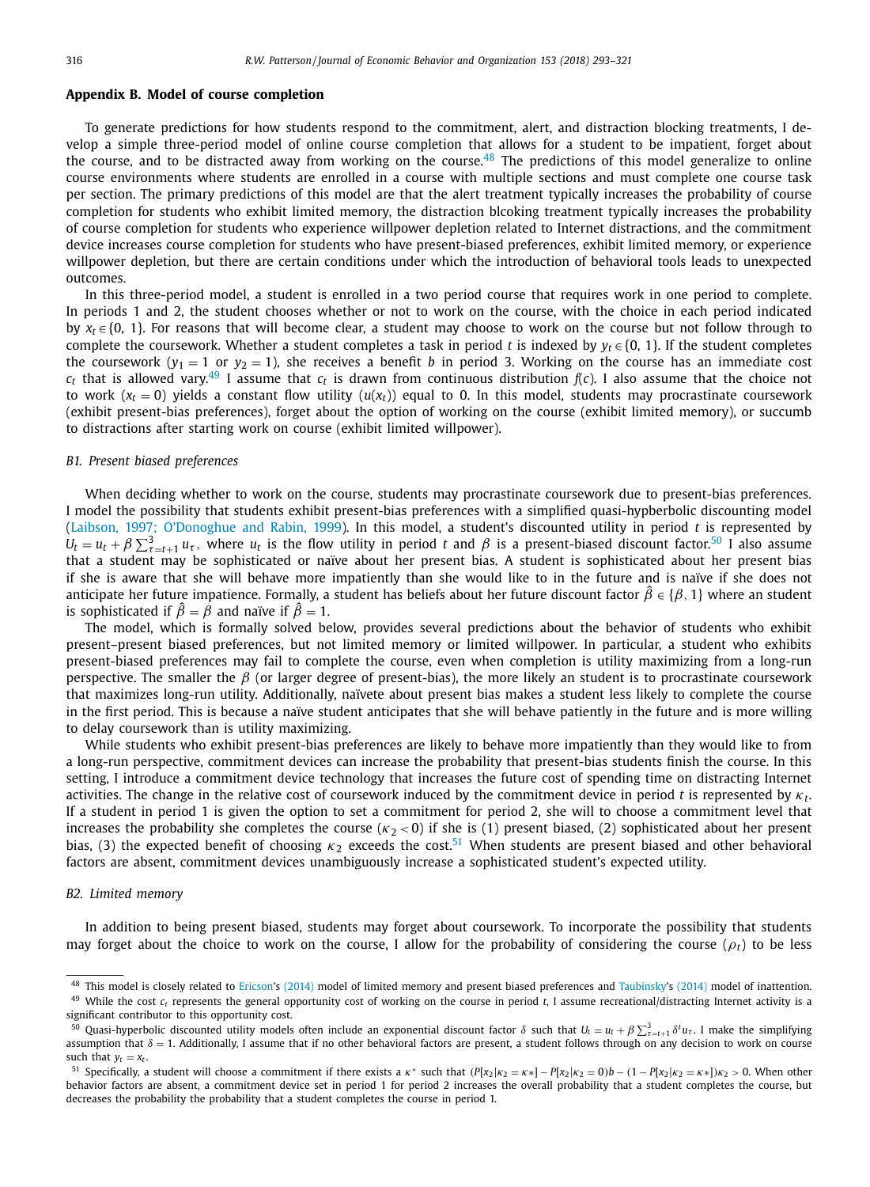# **Appendix B. Model of course completion**

To generate predictions for how students respond to the commitment, alert, and distraction blocking treatments, I develop a simple three-period model of online course completion that allows for a student to be impatient, forget about the course, and to be distracted away from working on the course.<sup>48</sup> The predictions of this model generalize to online course environments where students are enrolled in a course with multiple sections and must complete one course task per section. The primary predictions of this model are that the alert treatment typically increases the probability of course completion for students who exhibit limited memory, the distraction blcoking treatment typically increases the probability of course completion for students who experience willpower depletion related to Internet distractions, and the commitment device increases course completion for students who have present-biased preferences, exhibit limited memory, or experience willpower depletion, but there are certain conditions under which the introduction of behavioral tools leads to unexpected outcomes.

In this three-period model, a student is enrolled in a two period course that requires work in one period to complete. In periods 1 and 2, the student chooses whether or not to work on the course, with the choice in each period indicated by  $x_t \in \{0, 1\}$ . For reasons that will become clear, a student may choose to work on the course but not follow through to complete the coursework. Whether a student completes a task in period *t* is indexed by  $y_t \in \{0, 1\}$ . If the student completes the coursework ( $y_1 = 1$  or  $y_2 = 1$ ), she receives a benefit *b* in period 3. Working on the course has an immediate cost  $c_t$  that is allowed vary.<sup>49</sup> I assume that  $c_t$  is drawn from continuous distribution  $f(c)$ . I also assume that the choice not to work  $(x_t = 0)$  yields a constant flow utility  $(u(x_t))$  equal to 0. In this model, students may procrastinate coursework (exhibit present-bias preferences), forget about the option of working on the course (exhibit limited memory), or succumb to distractions after starting work on course (exhibit limited willpower).

### *B1. Present biased preferences*

When deciding whether to work on the course, students may procrastinate coursework due to present-bias preferences. I model the possibility that students exhibit present-bias preferences with a simplified quasi-hypberbolic discounting model (Laibson, 1997; O'Donoghue and Rabin, 1999). In this model, a student's discounted utility in period *t* is represented by  $U_t = u_t + \beta \sum_{\tau=t+1}^3 u_\tau$ , where  $u_t$  is the flow utility in period *t* and  $\beta$  is a present-biased discount factor.<sup>50</sup> I also assume that a student may be sophisticated or naïve about her present bias. A student is sophisticated about her present bias if she is aware that she will behave more impatiently than she would like to in the future and is naïve if she does not anticipate her future impatience. Formally, a student has beliefs about her future discount factor  $\hat{\beta} \in {\beta, 1}$  where an student is sophisticated if  $\hat{\beta} = \beta$  and naïve if  $\hat{\beta} = 1$ .

The model, which is formally solved below, provides several predictions about the behavior of students who exhibit present–present biased preferences, but not limited memory or limited willpower. In particular, a student who exhibits present-biased preferences may fail to complete the course, even when completion is utility maximizing from a long-run perspective. The smaller the  $β$  (or larger degree of present-bias), the more likely an student is to procrastinate coursework that maximizes long-run utility. Additionally, naïvete about present bias makes a student less likely to complete the course in the first period. This is because a naïve student anticipates that she will behave patiently in the future and is more willing to delay coursework than is utility maximizing.

While students who exhibit present-bias preferences are likely to behave more impatiently than they would like to from a long-run perspective, commitment devices can increase the probability that present-bias students finish the course. In this setting, I introduce a commitment device technology that increases the future cost of spending time on distracting Internet activities. The change in the relative cost of coursework induced by the commitment device in period *t* is represented by κ*<sup>t</sup>* . If a student in period 1 is given the option to set a commitment for period 2, she will to choose a commitment level that increases the probability she completes the course ( $\kappa_2$  < 0) if she is (1) present biased, (2) sophisticated about her present bias, (3) the expected benefit of choosing  $\kappa_2$  exceeds the cost.<sup>51</sup> When students are present biased and other behavioral factors are absent, commitment devices unambiguously increase a sophisticated student's expected utility.

# *B2. Limited memory*

In addition to being present biased, students may forget about coursework. To incorporate the possibility that students may forget about the choice to work on the course, I allow for the probability of considering the course (ρ*t*) to be less

<sup>48</sup> This model is closely related to Ericson's (2014) model of limited memory and present biased preferences and Taubinsky's (2014) model of inattention. <sup>49</sup> While the cost  $c_t$  represents the general opportunity cost of working on the course in period  $t$ , I assume recreational/distracting Internet activity is a significant contributor to this opportunity cost.

 $^{50}$  Quasi-hyperbolic discounted utility models often include an exponential discount factor δ such that  $U_t = u_t + β \sum_{\tau=t+1}^3 \delta^t u_\tau$ . I make the simplifying assumption that  $\delta = 1$ . Additionally, I assume that if no other behavioral factors are present, a student follows through on any decision to work on course such that  $v_t = x_t$ .

<sup>&</sup>lt;sup>51</sup> Specifically, a student will choose a commitment if there exists a  $\kappa^*$  such that  $(P[x_2|\kappa_2 = \kappa^*] - P[x_2|\kappa_2 = 0)b - (1 - P[x_2|\kappa_2 = \kappa^*])\kappa_2 > 0$ . When other behavior factors are absent, a commitment device set in period 1 for period 2 increases the overall probability that a student completes the course, but decreases the probability the probability that a student completes the course in period 1.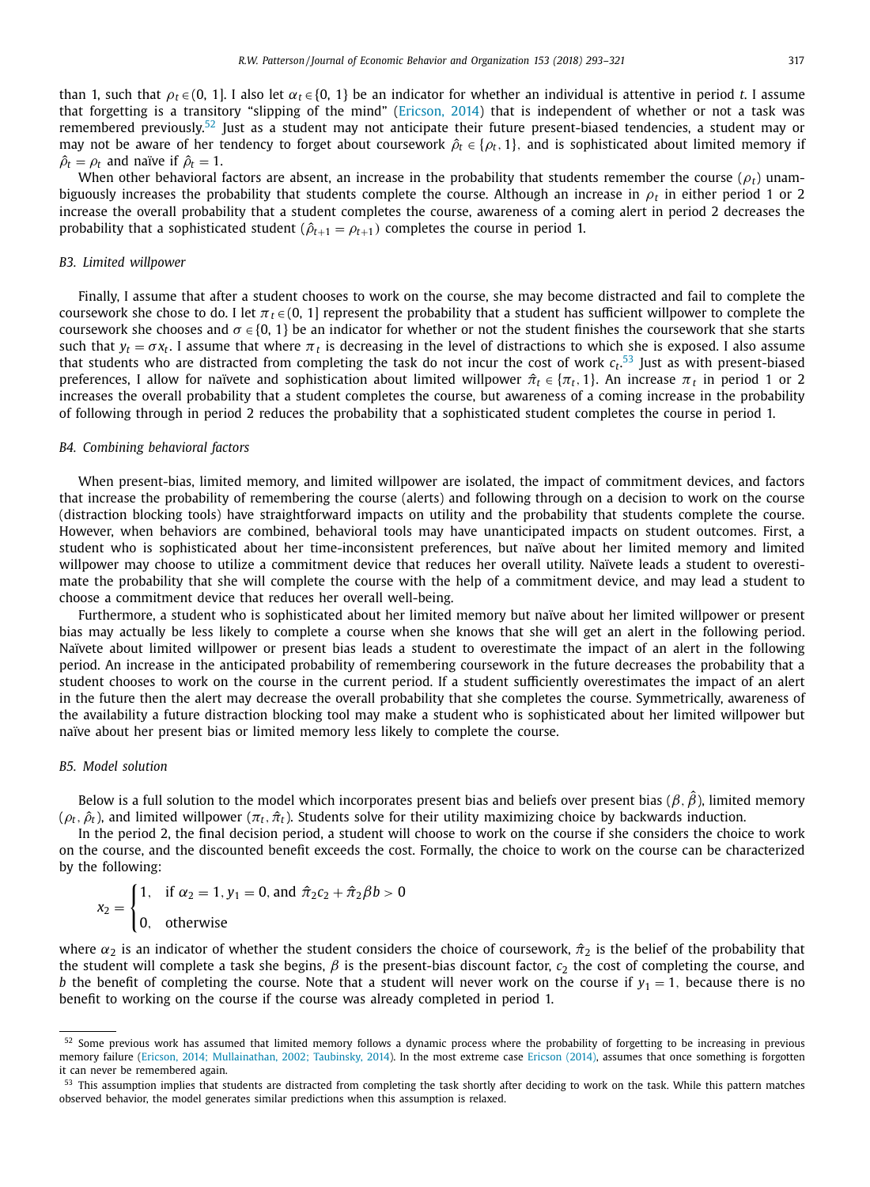than 1, such that  $\rho_t \in (0, 1]$ . I also let  $\alpha_t \in \{0, 1\}$  be an indicator for whether an individual is attentive in period *t*. I assume that forgetting is a transitory "slipping of the mind" (Ericson, 2014) that is independent of whether or not a task was remembered previously. $52$  Just as a student may not anticipate their future present-biased tendencies, a student may or may not be aware of her tendency to forget about coursework  $\hat{\rho}_t \in \{\rho_t, 1\}$ , and is sophisticated about limited memory if  $\hat{\rho}_t = \rho_t$  and naïve if  $\hat{\rho}_t = 1$ .

When other behavioral factors are absent, an increase in the probability that students remember the course ( $\rho_t$ ) unambiguously increases the probability that students complete the course. Although an increase in  $\rho_t$  in either period 1 or 2 increase the overall probability that a student completes the course, awareness of a coming alert in period 2 decreases the probability that a sophisticated student ( $\hat{\rho}_{t+1} = \rho_{t+1}$ ) completes the course in period 1.

# *B3. Limited willpower*

Finally, I assume that after a student chooses to work on the course, she may become distracted and fail to complete the coursework she chose to do. I let  $\pi_t \in (0, 1]$  represent the probability that a student has sufficient willpower to complete the coursework she chooses and  $\sigma \in \{0, 1\}$  be an indicator for whether or not the student finishes the coursework that she starts such that  $y_t = \sigma x_t$ . I assume that where  $\pi_t$  is decreasing in the level of distractions to which she is exposed. I also assume that students who are distracted from completing the task do not incur the cost of work  $c_t$ <sup>53</sup> Just as with present-biased preferences, I allow for naïvete and sophistication about limited willpower  $\hat{\pi}_t \in {\pi_t, 1}$ . An increase  $\pi_t$  in period 1 or 2 increases the overall probability that a student completes the course, but awareness of a coming increase in the probability of following through in period 2 reduces the probability that a sophisticated student completes the course in period 1.

# *B4. Combining behavioral factors*

When present-bias, limited memory, and limited willpower are isolated, the impact of commitment devices, and factors that increase the probability of remembering the course (alerts) and following through on a decision to work on the course (distraction blocking tools) have straightforward impacts on utility and the probability that students complete the course. However, when behaviors are combined, behavioral tools may have unanticipated impacts on student outcomes. First, a student who is sophisticated about her time-inconsistent preferences, but naïve about her limited memory and limited willpower may choose to utilize a commitment device that reduces her overall utility. Naïvete leads a student to overestimate the probability that she will complete the course with the help of a commitment device, and may lead a student to choose a commitment device that reduces her overall well-being.

Furthermore, a student who is sophisticated about her limited memory but naïve about her limited willpower or present bias may actually be less likely to complete a course when she knows that she will get an alert in the following period. Naïvete about limited willpower or present bias leads a student to overestimate the impact of an alert in the following period. An increase in the anticipated probability of remembering coursework in the future decreases the probability that a student chooses to work on the course in the current period. If a student sufficiently overestimates the impact of an alert in the future then the alert may decrease the overall probability that she completes the course. Symmetrically, awareness of the availability a future distraction blocking tool may make a student who is sophisticated about her limited willpower but naïve about her present bias or limited memory less likely to complete the course.

# *B5. Model solution*

Below is a full solution to the model which incorporates present bias and beliefs over present bias ( $\beta$ ,  $\hat{\beta}$ ), limited memory ( $\rho_t$ ,  $\hat{\rho}_t$ ), and limited willpower ( $\pi_t$ ,  $\hat{\pi}_t$ ). Students solve for their utility maximizing choice by backwards induction.

In the period 2, the final decision period, a student will choose to work on the course if she considers the choice to work on the course, and the discounted benefit exceeds the cost. Formally, the choice to work on the course can be characterized by the following:

$$
x_2 = \begin{cases} 1, & \text{if } \alpha_2 = 1, y_1 = 0, \text{ and } \hat{\pi}_2 c_2 + \hat{\pi}_2 \beta b > 0 \\ 0, & \text{otherwise} \end{cases}
$$

where  $\alpha_2$  is an indicator of whether the student considers the choice of coursework,  $\hat{\pi}_2$  is the belief of the probability that the student will complete a task she begins, β is the present-bias discount factor, *c*<sup>2</sup> the cost of completing the course, and *b* the benefit of completing the course. Note that a student will never work on the course if  $y_1 = 1$ , because there is no benefit to working on the course if the course was already completed in period 1.

<sup>&</sup>lt;sup>52</sup> Some previous work has assumed that limited memory follows a dynamic process where the probability of forgetting to be increasing in previous memory failure (Ericson, 2014; Mullainathan, 2002; Taubinsky, 2014). In the most extreme case Ericson (2014), assumes that once something is forgotten it can never be remembered again.

<sup>53</sup> This assumption implies that students are distracted from completing the task shortly after deciding to work on the task. While this pattern matches observed behavior, the model generates similar predictions when this assumption is relaxed.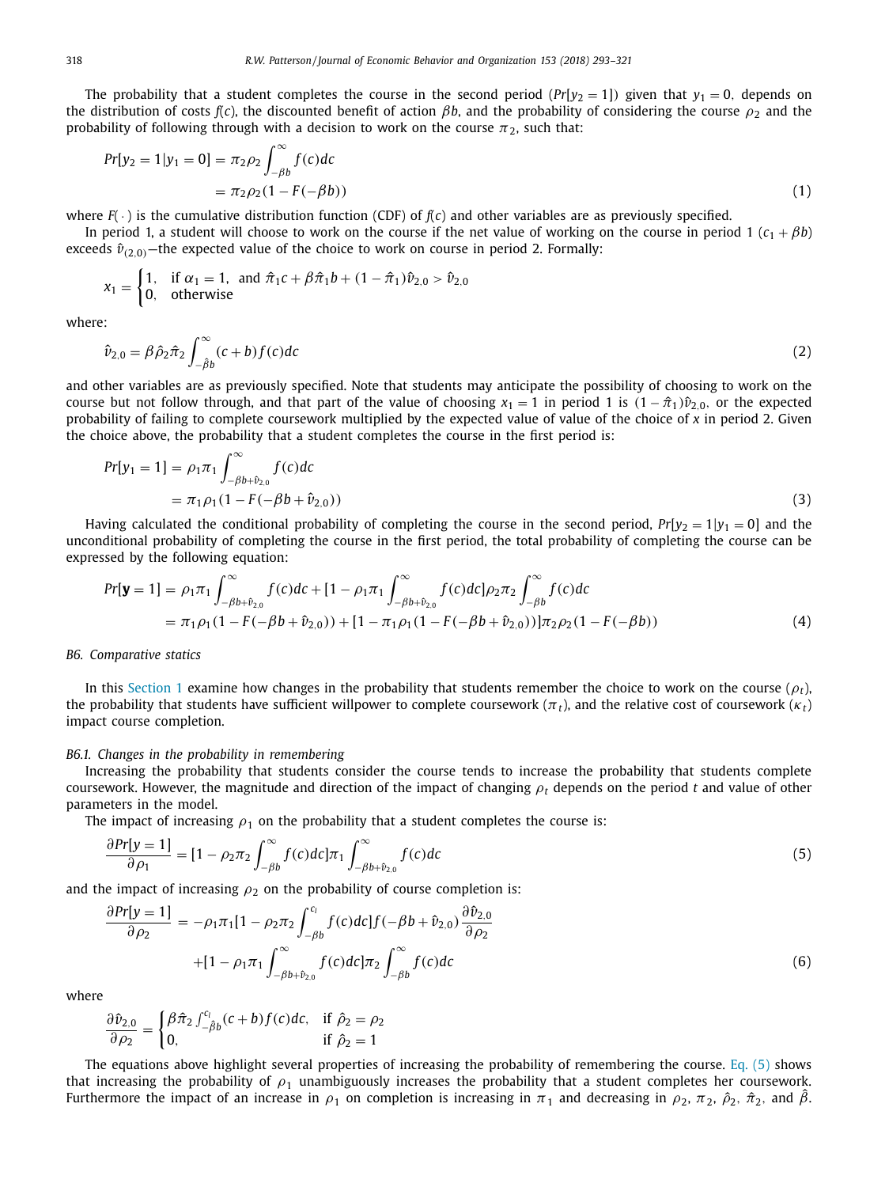The probability that a student completes the course in the second period ( $Pr[y_2 = 1]$ ) given that  $y_1 = 0$ , depends on the distribution of costs  $f(c)$ , the discounted benefit of action  $\beta b$ , and the probability of considering the course  $\rho_2$  and the probability of following through with a decision to work on the course  $\pi_2$ , such that:

$$
Pr[y_2 = 1 | y_1 = 0] = \pi_2 \rho_2 \int_{-\beta b}^{\infty} f(c) dc
$$
  
=  $\pi_2 \rho_2 (1 - F(-\beta b))$  (1)

where *F*(·) is the cumulative distribution function (CDF) of *f*(*c*) and other variables are as previously specified.

In period 1, a student will choose to work on the course if the net value of working on the course in period 1  $(c_1 + \beta b)$ exceeds  $\hat{v}_{(2,0)}$ —the expected value of the choice to work on course in period 2. Formally:

$$
x_1 = \begin{cases} 1, & \text{if } \alpha_1 = 1, \text{ and } \hat{\pi}_1 c + \beta \hat{\pi}_1 b + (1 - \hat{\pi}_1) \hat{\nu}_{2,0} > \hat{\nu}_{2,0} \\ 0, & \text{otherwise} \end{cases}
$$

where:

$$
\hat{v}_{2,0} = \beta \hat{\rho}_2 \hat{\pi}_2 \int_{-\hat{\beta}b}^{\infty} (c+b) f(c) dc \tag{2}
$$

and other variables are as previously specified. Note that students may anticipate the possibility of choosing to work on the course but not follow through, and that part of the value of choosing  $x_1 = 1$  in period 1 is  $(1 - \hat{\pi}_1)\hat{v}_{2,0}$ , or the expected probability of failing to complete coursework multiplied by the expected value of value of the choice of *x* in period 2. Given the choice above, the probability that a student completes the course in the first period is:

$$
Pr[y_1 = 1] = \rho_1 \pi_1 \int_{-\beta b + \hat{v}_{2,0}}^{\infty} f(c) dc
$$
  
=  $\pi_1 \rho_1 (1 - F(-\beta b + \hat{v}_{2,0}))$  (3)

Having calculated the conditional probability of completing the course in the second period,  $Pr[y_2 = 1|y_1 = 0]$  and the unconditional probability of completing the course in the first period, the total probability of completing the course can be expressed by the following equation:

$$
Pr[\mathbf{y} = 1] = \rho_1 \pi_1 \int_{-\beta b + \hat{v}_{2,0}}^{\infty} f(c)dc + [1 - \rho_1 \pi_1 \int_{-\beta b + \hat{v}_{2,0}}^{\infty} f(c)dc] \rho_2 \pi_2 \int_{-\beta b}^{\infty} f(c)dc
$$
  
=  $\pi_1 \rho_1 (1 - F(-\beta b + \hat{v}_{2,0})) + [1 - \pi_1 \rho_1 (1 - F(-\beta b + \hat{v}_{2,0}))] \pi_2 \rho_2 (1 - F(-\beta b))$  (4)

### *B6. Comparative statics*

In this Section 1 examine how changes in the probability that students remember the choice to work on the course ( $\rho_t$ ), the probability that students have sufficient willpower to complete coursework  $(\pi_t)$ , and the relative cost of coursework  $(\kappa_t)$ impact course completion.

#### *B6.1. Changes in the probability in remembering*

Increasing the probability that students consider the course tends to increase the probability that students complete coursework. However, the magnitude and direction of the impact of changing  $\rho_t$  depends on the period *t* and value of other parameters in the model.

The impact of increasing  $\rho_1$  on the probability that a student completes the course is:

$$
\frac{\partial Pr[y=1]}{\partial \rho_1} = [1 - \rho_2 \pi_2 \int_{-\beta b}^{\infty} f(c)dc] \pi_1 \int_{-\beta b + \hat{v}_{2,0}}^{\infty} f(c)dc \tag{5}
$$

and the impact of increasing  $\rho_2$  on the probability of course completion is:

$$
\frac{\partial Pr[y=1]}{\partial \rho_2} = -\rho_1 \pi_1 [1 - \rho_2 \pi_2 \int_{-\beta b}^{c_1} f(c)dc] f(-\beta b + \hat{v}_{2,0}) \frac{\partial \hat{v}_{2,0}}{\partial \rho_2} + [1 - \rho_1 \pi_1 \int_{-\beta b + \hat{v}_{2,0}}^{\infty} f(c)dc] \pi_2 \int_{-\beta b}^{\infty} f(c)dc \tag{6}
$$

where

$$
\frac{\partial \hat{v}_{2,0}}{\partial \rho_2} = \begin{cases} \beta \hat{\pi}_2 \int_{-\hat{\beta}b}^{c_1} (c+b) f(c) dc, & \text{if } \hat{\rho}_2 = \rho_2 \\ 0, & \text{if } \hat{\rho}_2 = 1 \end{cases}
$$

The equations above highlight several properties of increasing the probability of remembering the course. Eq.  $(5)$  shows that increasing the probability of  $\rho_1$  unambiguously increases the probability that a student completes her coursework. Furthermore the impact of an increase in  $\rho_1$  on completion is increasing in  $\pi_1$  and decreasing in  $\rho_2$ ,  $\pi_2$ ,  $\hat{\rho}_2$ ,  $\hat{\pi}_2$ , and  $\hat{\beta}$ .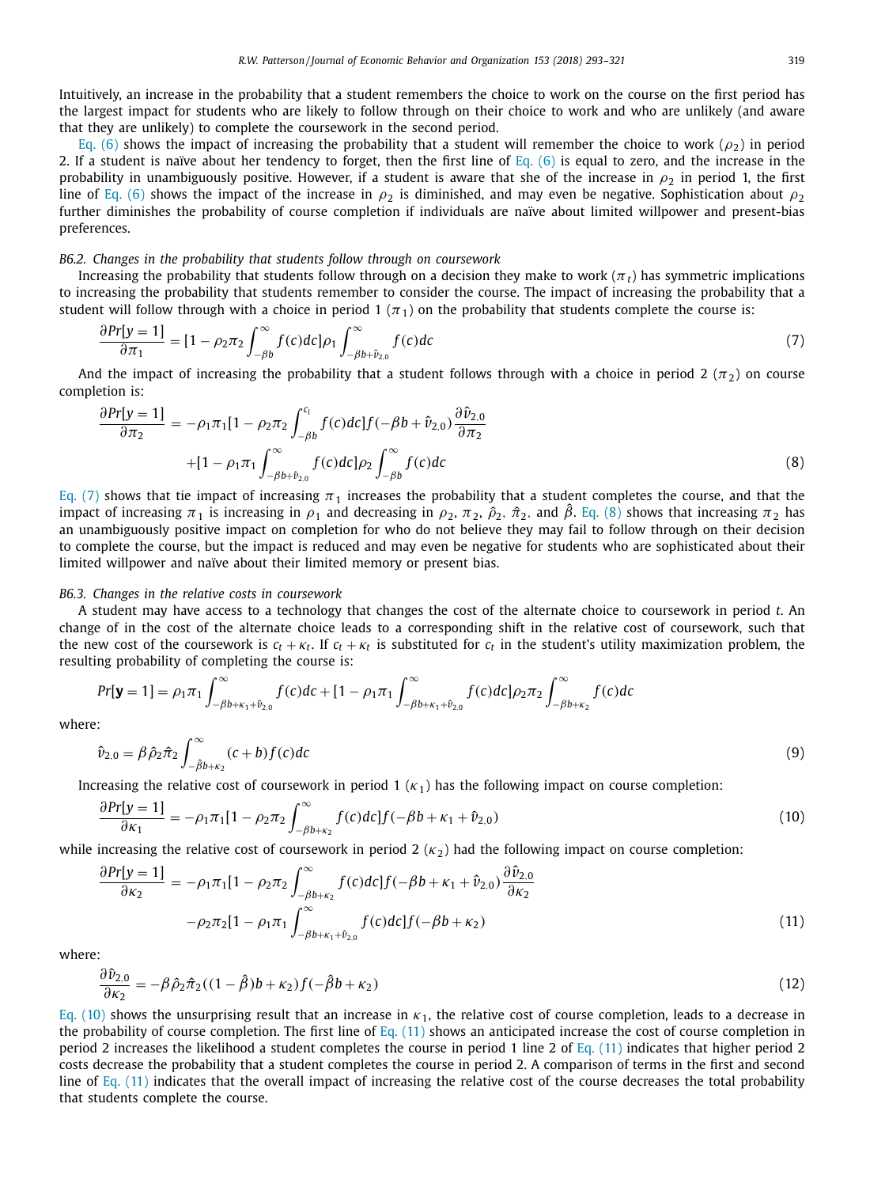Intuitively, an increase in the probability that a student remembers the choice to work on the course on the first period has the largest impact for students who are likely to follow through on their choice to work and who are unlikely (and aware that they are unlikely) to complete the coursework in the second period.

Eq. (6) shows the impact of increasing the probability that a student will remember the choice to work ( $\rho_2$ ) in period 2. If a student is naïve about her tendency to forget, then the first line of Eq. (6) is equal to zero, and the increase in the probability in unambiguously positive. However, if a student is aware that she of the increase in  $\rho_2$  in period 1, the first line of Eq. (6) shows the impact of the increase in  $\rho_2$  is diminished, and may even be negative. Sophistication about  $\rho_2$ further diminishes the probability of course completion if individuals are naïve about limited willpower and present-bias preferences.

# *B6.2. Changes in the probability that students follow through on coursework*

Increasing the probability that students follow through on a decision they make to work  $(\pi_t)$  has symmetric implications to increasing the probability that students remember to consider the course. The impact of increasing the probability that a student will follow through with a choice in period 1 ( $\pi$ <sub>1</sub>) on the probability that students complete the course is:

$$
\frac{\partial Pr[y=1]}{\partial \pi_1} = [1 - \rho_2 \pi_2 \int_{-\beta b}^{\infty} f(c)dc] \rho_1 \int_{-\beta b + \hat{v}_{2,0}}^{\infty} f(c)dc \tag{7}
$$

And the impact of increasing the probability that a student follows through with a choice in period 2 ( $\pi_2$ ) on course completion is:

$$
\frac{\partial Pr[y=1]}{\partial \pi_2} = -\rho_1 \pi_1 [1 - \rho_2 \pi_2 \int_{-\beta b}^{c_1} f(c)dc] f(-\beta b + \hat{v}_{2,0}) \frac{\partial \hat{v}_{2,0}}{\partial \pi_2} + [1 - \rho_1 \pi_1 \int_{-\beta b + \hat{v}_{2,0}}^{\infty} f(c)dc] \rho_2 \int_{-\beta b}^{\infty} f(c)dc \tag{8}
$$

Eq. (7) shows that tie impact of increasing  $\pi_1$  increases the probability that a student completes the course, and that the impact of increasing  $π_1$  is increasing in  $ρ_1$  and decreasing in  $ρ_2$ ,  $π_2$ ,  $ρ_2$ ,  $π_2$ , and  $β$ . Eq. (8) shows that increasing  $π_2$  has an unambiguously positive impact on completion for who do not believe they may fail to follow through on their decision to complete the course, but the impact is reduced and may even be negative for students who are sophisticated about their limited willpower and naïve about their limited memory or present bias.

#### *B6.3. Changes in the relative costs in coursework*

A student may have access to a technology that changes the cost of the alternate choice to coursework in period *t*. An change of in the cost of the alternate choice leads to a corresponding shift in the relative cost of coursework, such that the new cost of the coursework is  $c_t + \kappa_t$ . If  $c_t + \kappa_t$  is substituted for  $c_t$  in the student's utility maximization problem, the resulting probability of completing the course is:

$$
Pr[\mathbf{y} = 1] = \rho_1 \pi_1 \int_{-\beta b + \kappa_1 + \hat{v}_{2,0}}^{\infty} f(c)dc + [1 - \rho_1 \pi_1 \int_{-\beta b + \kappa_1 + \hat{v}_{2,0}}^{\infty} f(c)dc] \rho_2 \pi_2 \int_{-\beta b + \kappa_2}^{\infty} f(c)dc
$$

where:

$$
\hat{\nu}_{2,0} = \beta \hat{\rho}_2 \hat{\pi}_2 \int_{-\hat{\beta}b + \kappa_2}^{\infty} (c + b)f(c)dc \tag{9}
$$

Increasing the relative cost of coursework in period 1  $(\kappa_1)$  has the following impact on course completion:

$$
\frac{\partial Pr[y=1]}{\partial \kappa_1} = -\rho_1 \pi_1 [1 - \rho_2 \pi_2 \int_{-\beta b + \kappa_2}^{\infty} f(c)dc] f(-\beta b + \kappa_1 + \hat{v}_{2,0})
$$
\n(10)

while increasing the relative cost of coursework in period 2  $(\kappa_2)$  had the following impact on course completion:

$$
\frac{\partial Pr[y=1]}{\partial \kappa_2} = -\rho_1 \pi_1 [1 - \rho_2 \pi_2 \int_{-\beta b + \kappa_2}^{\infty} f(c)dc] f(-\beta b + \kappa_1 + \hat{v}_{2,0}) \frac{\partial \hat{v}_{2,0}}{\partial \kappa_2} \n- \rho_2 \pi_2 [1 - \rho_1 \pi_1 \int_{-\beta b + \kappa_1 + \hat{v}_{2,0}}^{\infty} f(c)dc] f(-\beta b + \kappa_2)
$$
\n(11)

where:

$$
\frac{\partial \hat{v}_{2,0}}{\partial \kappa_2} = -\beta \hat{\rho}_2 \hat{\pi}_2 ((1 - \hat{\beta})b + \kappa_2) f(-\hat{\beta} b + \kappa_2)
$$
\n(12)

Eq. (10) shows the unsurprising result that an increase in  $\kappa_1$ , the relative cost of course completion, leads to a decrease in the probability of course completion. The first line of Eq. (11) shows an anticipated increase the cost of course completion in period 2 increases the likelihood a student completes the course in period 1 line 2 of Eq. (11) indicates that higher period 2 costs decrease the probability that a student completes the course in period 2. A comparison of terms in the first and second line of Eq. (11) indicates that the overall impact of increasing the relative cost of the course decreases the total probability that students complete the course.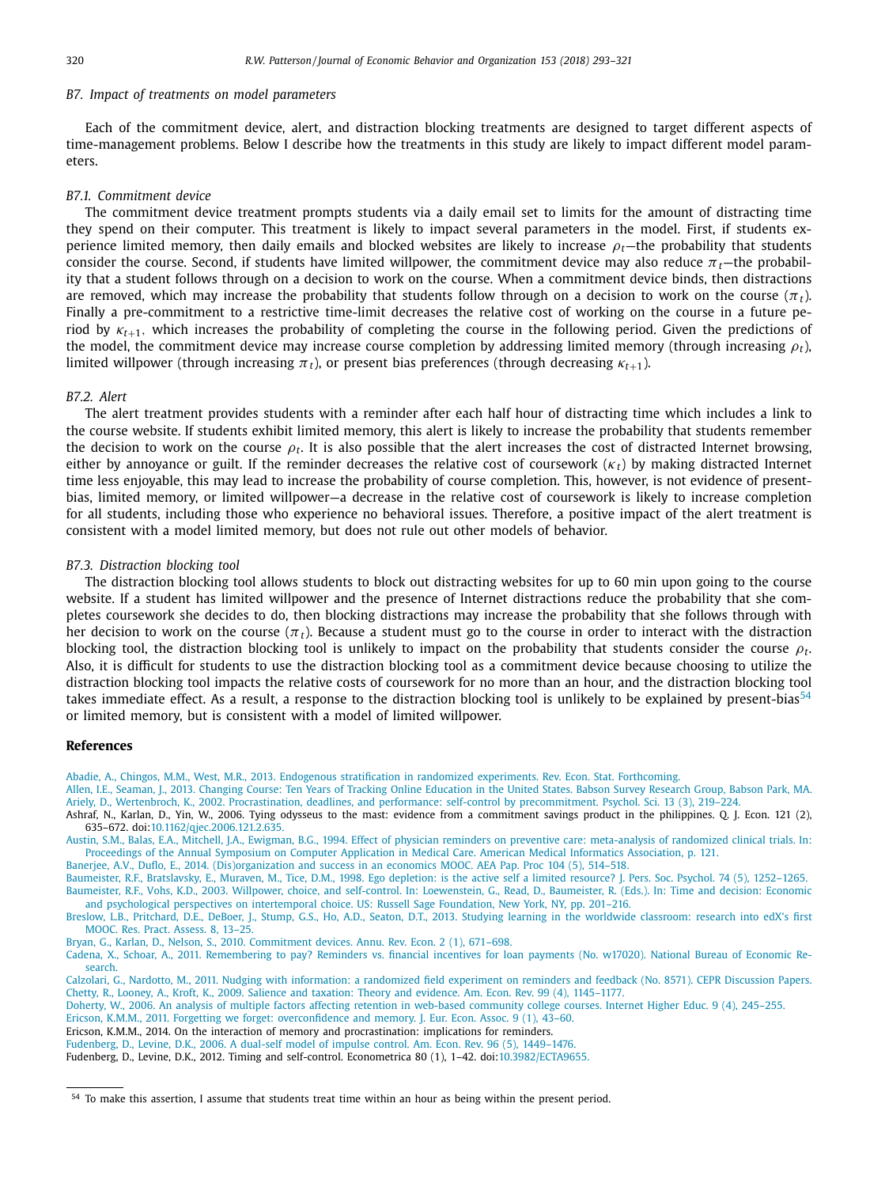### *B7. Impact of treatments on model parameters*

Each of the commitment device, alert, and distraction blocking treatments are designed to target different aspects of time-management problems. Below I describe how the treatments in this study are likely to impact different model parameters.

# *B7.1. Commitment device*

The commitment device treatment prompts students via a daily email set to limits for the amount of distracting time they spend on their computer. This treatment is likely to impact several parameters in the model. First, if students experience limited memory, then daily emails and blocked websites are likely to increase  $\rho_t$ —the probability that students consider the course. Second, if students have limited willpower, the commitment device may also reduce π*t*—the probability that a student follows through on a decision to work on the course. When a commitment device binds, then distractions are removed, which may increase the probability that students follow through on a decision to work on the course  $(\pi_t)$ . Finally a pre-commitment to a restrictive time-limit decreases the relative cost of working on the course in a future period by  $\kappa_{t+1}$ , which increases the probability of completing the course in the following period. Given the predictions of the model, the commitment device may increase course completion by addressing limited memory (through increasing ρ*t*), limited willpower (through increasing  $\pi_t$ ), or present bias preferences (through decreasing  $\kappa_{t+1}$ ).

# *B7.2. Alert*

The alert treatment provides students with a reminder after each half hour of distracting time which includes a link to the course website. If students exhibit limited memory, this alert is likely to increase the probability that students remember the decision to work on the course  $\rho_t$ . It is also possible that the alert increases the cost of distracted Internet browsing, either by annoyance or guilt. If the reminder decreases the relative cost of coursework  $(\kappa_t)$  by making distracted Internet time less enjoyable, this may lead to increase the probability of course completion. This, however, is not evidence of presentbias, limited memory, or limited willpower—a decrease in the relative cost of coursework is likely to increase completion for all students, including those who experience no behavioral issues. Therefore, a positive impact of the alert treatment is consistent with a model limited memory, but does not rule out other models of behavior.

### *B7.3. Distraction blocking tool*

The distraction blocking tool allows students to block out distracting websites for up to 60 min upon going to the course website. If a student has limited willpower and the presence of Internet distractions reduce the probability that she completes coursework she decides to do, then blocking distractions may increase the probability that she follows through with her decision to work on the course  $(\pi_t)$ . Because a student must go to the course in order to interact with the distraction blocking tool, the distraction blocking tool is unlikely to impact on the probability that students consider the course  $\rho_t$ . Also, it is difficult for students to use the distraction blocking tool as a commitment device because choosing to utilize the distraction blocking tool impacts the relative costs of coursework for no more than an hour, and the distraction blocking tool takes immediate effect. As a result, a response to the distraction blocking tool is unlikely to be explained by present-bias<sup>54</sup> or limited memory, but is consistent with a model of limited willpower.

#### **References**

Abadie, A., Chingos, M.M., West, M.R., 2013. Endogenous stratification in randomized experiments. Rev. Econ. Stat. Forthcoming.

Allen, I.E., Seaman, J., 2013. Changing Course: Ten Years of Tracking Online Education in the United States. Babson Survey Research Group, Babson Park, MA. Ariely, D., Wertenbroch, K., 2002. Procrastination, deadlines, and performance: self-control by precommitment. Psychol. Sci. 13 (3), 219–224.

Ashraf, N., Karlan, D., Yin, W., 2006. Tying odysseus to the mast: evidence from a commitment savings product in the philippines. Q. J. Econ. 121 (2), 635–672. doi:10.1162/qjec.2006.121.2.635.

Austin, S.M., Balas, E.A., Mitchell, J.A., Ewigman, B.G., 1994. Effect of physician reminders on preventive care: meta-analysis of randomized clinical trials. In: Proceedings of the Annual Symposium on Computer Application in Medical Care. American Medical Informatics Association, p. 121.

Banerjee, A.V., Duflo, E., 2014. (Dis)organization and success in an economics MOOC. AEA Pap. Proc 104 (5), 514–518.

Baumeister, R.F., Bratslavsky, E., Muraven, M., Tice, D.M., 1998. Ego depletion: is the active self a limited resource? J. Pers. Soc. Psychol. 74 (5), 1252–1265.

Baumeister, R.F., Vohs, K.D., 2003. Willpower, choice, and self-control. In: Loewenstein, G., Read, D., Baumeister, R. (Eds.). In: Time and decision: Economic and psychological perspectives on intertemporal choice. US: Russell Sage Foundation, New York, NY, pp. 201–216.

Breslow, L.B., Pritchard, D.E., DeBoer, J., Stump, G.S., Ho, A.D., Seaton, D.T., 2013. Studying learning in the worldwide classroom: research into edX's first MOOC. Res. Pract. Assess. 8, 13–25.

Bryan, G., Karlan, D., Nelson, S., 2010. Commitment devices. Annu. Rev. Econ. 2 (1), 671–698.

Cadena, X., Schoar, A., 2011. Remembering to pay? Reminders vs. financial incentives for loan payments (No. w17020). National Bureau of Economic Research.

Calzolari, G., Nardotto, M., 2011. Nudging with information: a randomized field experiment on reminders and feedback (No. 8571). CEPR Discussion Papers. Chetty, R., Looney, A., Kroft, K., 2009. Salience and taxation: Theory and evidence. Am. Econ. Rev. 99 (4), 1145–1177.

Doherty, W., 2006. An analysis of multiple factors affecting retention in web-based community college courses. Internet Higher Educ. 9 (4), 245–255. Ericson, K.M.M., 2011. Forgetting we forget: overconfidence and memory. J. Eur. Econ. Assoc. 9 (1), 43–60.

Ericson, K.M.M., 2014. On the interaction of memory and procrastination: implications for reminders.

Fudenberg, D., Levine, D.K., 2006. A dual-self model of impulse control. Am. Econ. Rev. 96 (5), 1449–1476.

Fudenberg, D., Levine, D.K., 2012. Timing and self-control. Econometrica 80 (1), 1–42. doi:10.3982/ECTA9655.

<sup>54</sup> To make this assertion, I assume that students treat time within an hour as being within the present period.